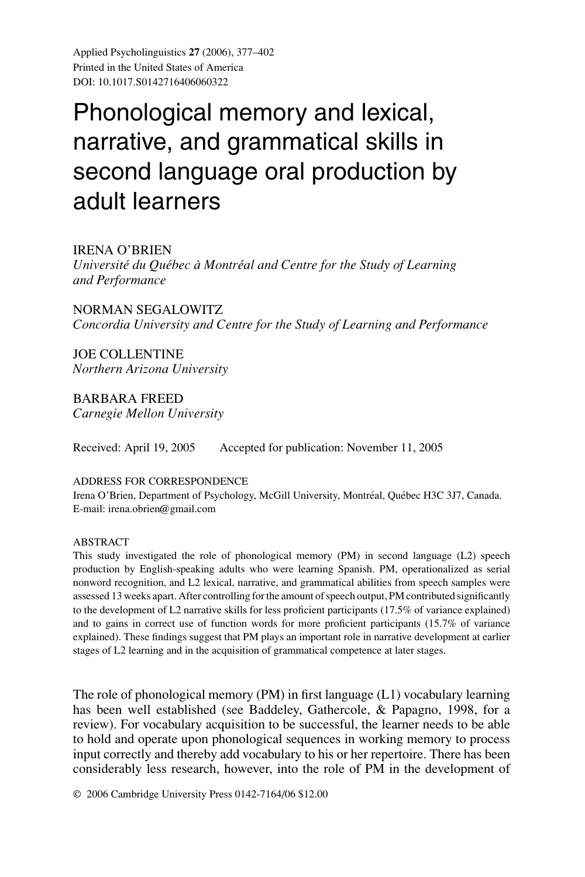Applied Psycholinguistics **27** (2006), 377–402 Printed in the United States of America DOI: 10.1017.S0142716406060322

# Phonological memory and lexical, narrative, and grammatical skills in second language oral production by adult learners

# IRENA O'BRIEN

*Université du Québec à Montréal and Centre for the Study of Learning and Performance*

NORMAN SEGALOWITZ *Concordia University and Centre for the Study of Learning and Performance*

JOE COLLENTINE *Northern Arizona University*

BARBARA FREED *Carnegie Mellon University*

Received: April 19, 2005 Accepted for publication: November 11, 2005

## ADDRESS FOR CORRESPONDENCE

Irena O'Brien, Department of Psychology, McGill University, Montréal, Québec H3C 3J7, Canada. E-mail: irena.obrien@gmail.com

#### ABSTRACT

This study investigated the role of phonological memory (PM) in second language (L2) speech production by English-speaking adults who were learning Spanish. PM, operationalized as serial nonword recognition, and L2 lexical, narrative, and grammatical abilities from speech samples were assessed 13 weeks apart. After controlling for the amount of speech output, PM contributed significantly to the development of L2 narrative skills for less proficient participants (17.5% of variance explained) and to gains in correct use of function words for more proficient participants (15.7% of variance explained). These findings suggest that PM plays an important role in narrative development at earlier stages of L2 learning and in the acquisition of grammatical competence at later stages.

The role of phonological memory (PM) in first language (L1) vocabulary learning has been well established (see Baddeley, Gathercole, & Papagno, 1998, for a review). For vocabulary acquisition to be successful, the learner needs to be able to hold and operate upon phonological sequences in working memory to process input correctly and thereby add vocabulary to his or her repertoire. There has been considerably less research, however, into the role of PM in the development of

© 2006 Cambridge University Press 0142-7164/06 \$12.00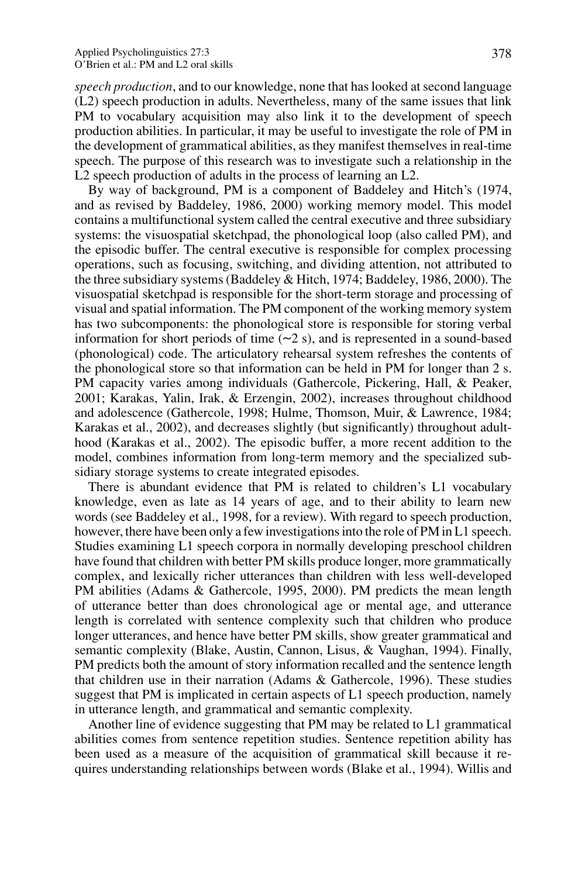*speech production*, and to our knowledge, none that has looked at second language (L2) speech production in adults. Nevertheless, many of the same issues that link PM to vocabulary acquisition may also link it to the development of speech production abilities. In particular, it may be useful to investigate the role of PM in the development of grammatical abilities, as they manifest themselves in real-time speech. The purpose of this research was to investigate such a relationship in the L<sub>2</sub> speech production of adults in the process of learning an L<sub>2</sub>.

By way of background, PM is a component of Baddeley and Hitch's (1974, and as revised by Baddeley, 1986, 2000) working memory model. This model contains a multifunctional system called the central executive and three subsidiary systems: the visuospatial sketchpad, the phonological loop (also called PM), and the episodic buffer. The central executive is responsible for complex processing operations, such as focusing, switching, and dividing attention, not attributed to the three subsidiary systems (Baddeley & Hitch, 1974; Baddeley, 1986, 2000). The visuospatial sketchpad is responsible for the short-term storage and processing of visual and spatial information. The PM component of the working memory system has two subcomponents: the phonological store is responsible for storing verbal information for short periods of time  $(\sim 2 \text{ s})$ , and is represented in a sound-based (phonological) code. The articulatory rehearsal system refreshes the contents of the phonological store so that information can be held in PM for longer than 2 s. PM capacity varies among individuals (Gathercole, Pickering, Hall, & Peaker, 2001; Karakas, Yalin, Irak, & Erzengin, 2002), increases throughout childhood and adolescence (Gathercole, 1998; Hulme, Thomson, Muir, & Lawrence, 1984; Karakas et al., 2002), and decreases slightly (but significantly) throughout adulthood (Karakas et al., 2002). The episodic buffer, a more recent addition to the model, combines information from long-term memory and the specialized subsidiary storage systems to create integrated episodes.

There is abundant evidence that PM is related to children's L1 vocabulary knowledge, even as late as 14 years of age, and to their ability to learn new words (see Baddeley et al., 1998, for a review). With regard to speech production, however, there have been only a few investigations into the role of PM in L1 speech. Studies examining L1 speech corpora in normally developing preschool children have found that children with better PM skills produce longer, more grammatically complex, and lexically richer utterances than children with less well-developed PM abilities (Adams & Gathercole, 1995, 2000). PM predicts the mean length of utterance better than does chronological age or mental age, and utterance length is correlated with sentence complexity such that children who produce longer utterances, and hence have better PM skills, show greater grammatical and semantic complexity (Blake, Austin, Cannon, Lisus, & Vaughan, 1994). Finally, PM predicts both the amount of story information recalled and the sentence length that children use in their narration (Adams & Gathercole, 1996). These studies suggest that PM is implicated in certain aspects of L1 speech production, namely in utterance length, and grammatical and semantic complexity.

Another line of evidence suggesting that PM may be related to L1 grammatical abilities comes from sentence repetition studies. Sentence repetition ability has been used as a measure of the acquisition of grammatical skill because it requires understanding relationships between words (Blake et al., 1994). Willis and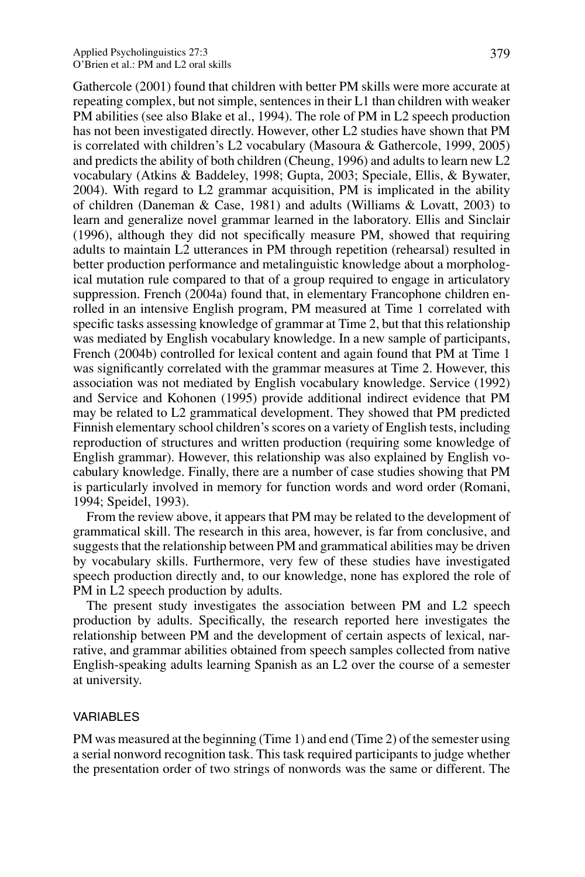Gathercole (2001) found that children with better PM skills were more accurate at repeating complex, but not simple, sentences in their L1 than children with weaker PM abilities (see also Blake et al., 1994). The role of PM in L2 speech production has not been investigated directly. However, other L2 studies have shown that PM is correlated with children's L2 vocabulary (Masoura & Gathercole, 1999, 2005) and predicts the ability of both children (Cheung, 1996) and adults to learn new L2 vocabulary (Atkins & Baddeley, 1998; Gupta, 2003; Speciale, Ellis, & Bywater, 2004). With regard to L2 grammar acquisition, PM is implicated in the ability of children (Daneman & Case, 1981) and adults (Williams & Lovatt, 2003) to learn and generalize novel grammar learned in the laboratory. Ellis and Sinclair (1996), although they did not specifically measure PM, showed that requiring adults to maintain L2 utterances in PM through repetition (rehearsal) resulted in better production performance and metalinguistic knowledge about a morphological mutation rule compared to that of a group required to engage in articulatory suppression. French (2004a) found that, in elementary Francophone children enrolled in an intensive English program, PM measured at Time 1 correlated with specific tasks assessing knowledge of grammar at Time 2, but that this relationship was mediated by English vocabulary knowledge. In a new sample of participants, French (2004b) controlled for lexical content and again found that PM at Time 1 was significantly correlated with the grammar measures at Time 2. However, this association was not mediated by English vocabulary knowledge. Service (1992) and Service and Kohonen (1995) provide additional indirect evidence that PM may be related to L2 grammatical development. They showed that PM predicted Finnish elementary school children's scores on a variety of English tests, including reproduction of structures and written production (requiring some knowledge of English grammar). However, this relationship was also explained by English vocabulary knowledge. Finally, there are a number of case studies showing that PM is particularly involved in memory for function words and word order (Romani, 1994; Speidel, 1993).

From the review above, it appears that PM may be related to the development of grammatical skill. The research in this area, however, is far from conclusive, and suggests that the relationship between PM and grammatical abilities may be driven by vocabulary skills. Furthermore, very few of these studies have investigated speech production directly and, to our knowledge, none has explored the role of PM in L2 speech production by adults.

The present study investigates the association between PM and L2 speech production by adults. Specifically, the research reported here investigates the relationship between PM and the development of certain aspects of lexical, narrative, and grammar abilities obtained from speech samples collected from native English-speaking adults learning Spanish as an L2 over the course of a semester at university.

#### VARIABLES

PM was measured at the beginning (Time 1) and end (Time 2) of the semester using a serial nonword recognition task. This task required participants to judge whether the presentation order of two strings of nonwords was the same or different. The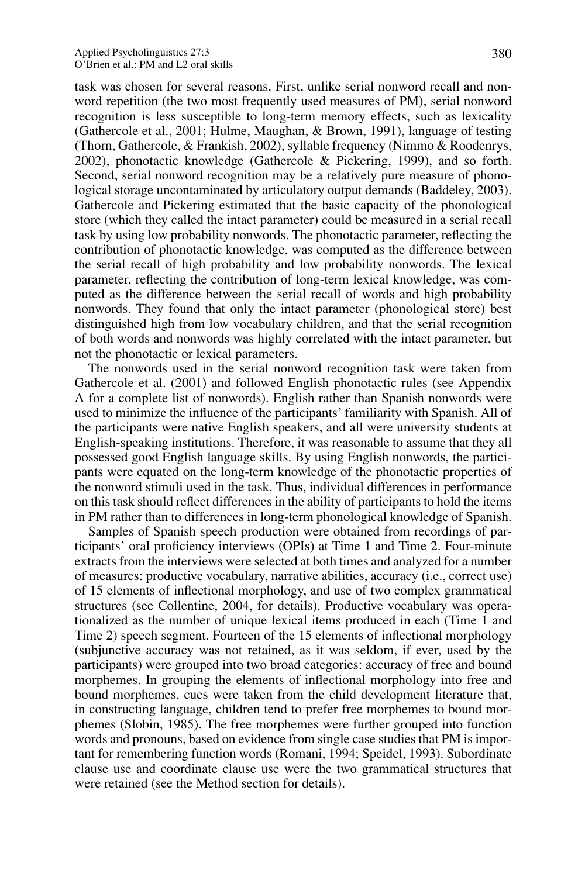task was chosen for several reasons. First, unlike serial nonword recall and nonword repetition (the two most frequently used measures of PM), serial nonword recognition is less susceptible to long-term memory effects, such as lexicality (Gathercole et al., 2001; Hulme, Maughan, & Brown, 1991), language of testing (Thorn, Gathercole, & Frankish, 2002), syllable frequency (Nimmo & Roodenrys, 2002), phonotactic knowledge (Gathercole & Pickering, 1999), and so forth. Second, serial nonword recognition may be a relatively pure measure of phonological storage uncontaminated by articulatory output demands (Baddeley, 2003). Gathercole and Pickering estimated that the basic capacity of the phonological store (which they called the intact parameter) could be measured in a serial recall task by using low probability nonwords. The phonotactic parameter, reflecting the contribution of phonotactic knowledge, was computed as the difference between the serial recall of high probability and low probability nonwords. The lexical parameter, reflecting the contribution of long-term lexical knowledge, was computed as the difference between the serial recall of words and high probability nonwords. They found that only the intact parameter (phonological store) best distinguished high from low vocabulary children, and that the serial recognition of both words and nonwords was highly correlated with the intact parameter, but not the phonotactic or lexical parameters.

The nonwords used in the serial nonword recognition task were taken from Gathercole et al. (2001) and followed English phonotactic rules (see Appendix A for a complete list of nonwords). English rather than Spanish nonwords were used to minimize the influence of the participants' familiarity with Spanish. All of the participants were native English speakers, and all were university students at English-speaking institutions. Therefore, it was reasonable to assume that they all possessed good English language skills. By using English nonwords, the participants were equated on the long-term knowledge of the phonotactic properties of the nonword stimuli used in the task. Thus, individual differences in performance on this task should reflect differences in the ability of participants to hold the items in PM rather than to differences in long-term phonological knowledge of Spanish.

Samples of Spanish speech production were obtained from recordings of participants' oral proficiency interviews (OPIs) at Time 1 and Time 2. Four-minute extracts from the interviews were selected at both times and analyzed for a number of measures: productive vocabulary, narrative abilities, accuracy (i.e., correct use) of 15 elements of inflectional morphology, and use of two complex grammatical structures (see Collentine, 2004, for details). Productive vocabulary was operationalized as the number of unique lexical items produced in each (Time 1 and Time 2) speech segment. Fourteen of the 15 elements of inflectional morphology (subjunctive accuracy was not retained, as it was seldom, if ever, used by the participants) were grouped into two broad categories: accuracy of free and bound morphemes. In grouping the elements of inflectional morphology into free and bound morphemes, cues were taken from the child development literature that, in constructing language, children tend to prefer free morphemes to bound morphemes (Slobin, 1985). The free morphemes were further grouped into function words and pronouns, based on evidence from single case studies that PM is important for remembering function words (Romani, 1994; Speidel, 1993). Subordinate clause use and coordinate clause use were the two grammatical structures that were retained (see the Method section for details).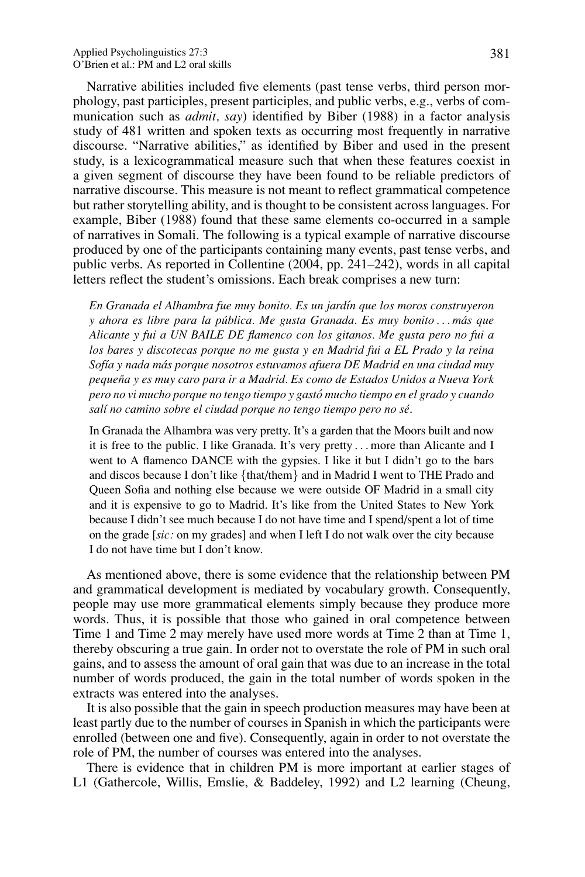Narrative abilities included five elements (past tense verbs, third person morphology, past participles, present participles, and public verbs, e.g., verbs of communication such as *admit, say*) identified by Biber (1988) in a factor analysis study of 481 written and spoken texts as occurring most frequently in narrative discourse. "Narrative abilities," as identified by Biber and used in the present study, is a lexicogrammatical measure such that when these features coexist in a given segment of discourse they have been found to be reliable predictors of narrative discourse. This measure is not meant to reflect grammatical competence but rather storytelling ability, and is thought to be consistent across languages. For example, Biber (1988) found that these same elements co-occurred in a sample of narratives in Somali. The following is a typical example of narrative discourse produced by one of the participants containing many events, past tense verbs, and public verbs. As reported in Collentine (2004, pp. 241–242), words in all capital letters reflect the student's omissions. Each break comprises a new turn:

*En Granada el Alhambra fue muy bonito. Es un jard´ın que los moros construyeron y ahora es libre para la publica. Me gusta Granada. Es muy bonito ´ ... mas que ´ Alicante y fui a UN BAILE DE flamenco con los gitanos. Me gusta pero no fui a los bares y discotecas porque no me gusta y en Madrid fui a EL Prado y la reina Sof´ıa y nada mas porque nosotros estuvamos afuera DE Madrid en una ciudad muy ´ pequena y es muy caro para ir a Madrid. Es como de Estados Unidos a Nueva York ˜ pero no vi mucho porque no tengo tiempo y gasto mucho tiempo en el grado y cuando ´ sal´ı no camino sobre el ciudad porque no tengo tiempo pero no se´*.

In Granada the Alhambra was very pretty. It's a garden that the Moors built and now it is free to the public. I like Granada. It's very pretty *...* more than Alicante and I went to A flamenco DANCE with the gypsies. I like it but I didn't go to the bars and discos because I don't like {that/them} and in Madrid I went to THE Prado and Queen Sofia and nothing else because we were outside OF Madrid in a small city and it is expensive to go to Madrid. It's like from the United States to New York because I didn't see much because I do not have time and I spend/spent a lot of time on the grade [*sic:* on my grades] and when I left I do not walk over the city because I do not have time but I don't know.

As mentioned above, there is some evidence that the relationship between PM and grammatical development is mediated by vocabulary growth. Consequently, people may use more grammatical elements simply because they produce more words. Thus, it is possible that those who gained in oral competence between Time 1 and Time 2 may merely have used more words at Time 2 than at Time 1, thereby obscuring a true gain. In order not to overstate the role of PM in such oral gains, and to assess the amount of oral gain that was due to an increase in the total number of words produced, the gain in the total number of words spoken in the extracts was entered into the analyses.

It is also possible that the gain in speech production measures may have been at least partly due to the number of courses in Spanish in which the participants were enrolled (between one and five). Consequently, again in order to not overstate the role of PM, the number of courses was entered into the analyses.

There is evidence that in children PM is more important at earlier stages of L1 (Gathercole, Willis, Emslie, & Baddeley, 1992) and L2 learning (Cheung,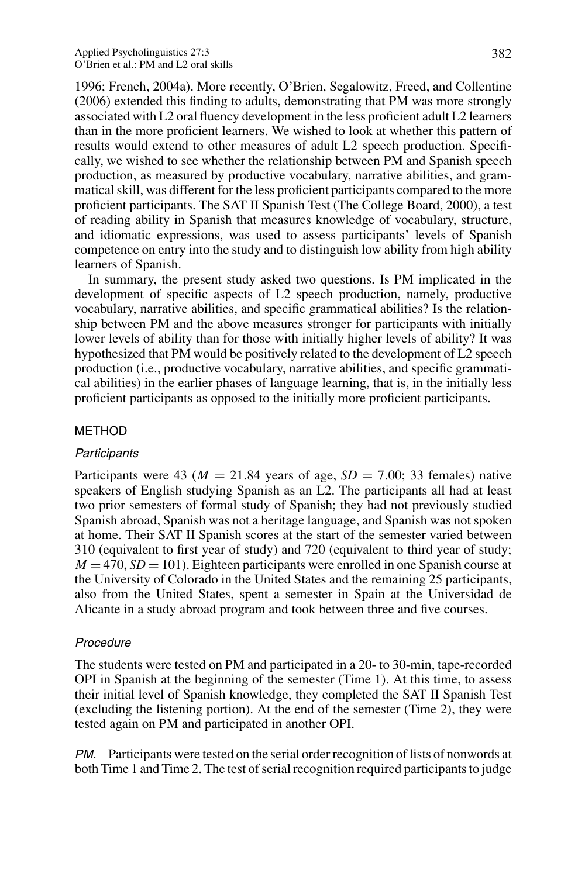1996; French, 2004a). More recently, O'Brien, Segalowitz, Freed, and Collentine (2006) extended this finding to adults, demonstrating that PM was more strongly associated with L2 oral fluency development in the less proficient adult L2 learners than in the more proficient learners. We wished to look at whether this pattern of results would extend to other measures of adult L2 speech production. Specifically, we wished to see whether the relationship between PM and Spanish speech production, as measured by productive vocabulary, narrative abilities, and grammatical skill, was different for the less proficient participants compared to the more proficient participants. The SAT II Spanish Test (The College Board, 2000), a test of reading ability in Spanish that measures knowledge of vocabulary, structure, and idiomatic expressions, was used to assess participants' levels of Spanish competence on entry into the study and to distinguish low ability from high ability learners of Spanish.

In summary, the present study asked two questions. Is PM implicated in the development of specific aspects of L2 speech production, namely, productive vocabulary, narrative abilities, and specific grammatical abilities? Is the relationship between PM and the above measures stronger for participants with initially lower levels of ability than for those with initially higher levels of ability? It was hypothesized that PM would be positively related to the development of L2 speech production (i.e., productive vocabulary, narrative abilities, and specific grammatical abilities) in the earlier phases of language learning, that is, in the initially less proficient participants as opposed to the initially more proficient participants.

#### METHOD

#### **Participants**

Participants were 43 ( $M = 21.84$  years of age,  $SD = 7.00$ ; 33 females) native speakers of English studying Spanish as an L2. The participants all had at least two prior semesters of formal study of Spanish; they had not previously studied Spanish abroad, Spanish was not a heritage language, and Spanish was not spoken at home. Their SAT II Spanish scores at the start of the semester varied between 310 (equivalent to first year of study) and 720 (equivalent to third year of study;  $M = 470$ ,  $SD = 101$ ). Eighteen participants were enrolled in one Spanish course at the University of Colorado in the United States and the remaining 25 participants, also from the United States, spent a semester in Spain at the Universidad de Alicante in a study abroad program and took between three and five courses.

## Procedure

The students were tested on PM and participated in a 20- to 30-min, tape-recorded OPI in Spanish at the beginning of the semester (Time 1). At this time, to assess their initial level of Spanish knowledge, they completed the SAT II Spanish Test (excluding the listening portion). At the end of the semester (Time 2), they were tested again on PM and participated in another OPI.

PM. Participants were tested on the serial order recognition of lists of nonwords at both Time 1 and Time 2. The test of serial recognition required participants to judge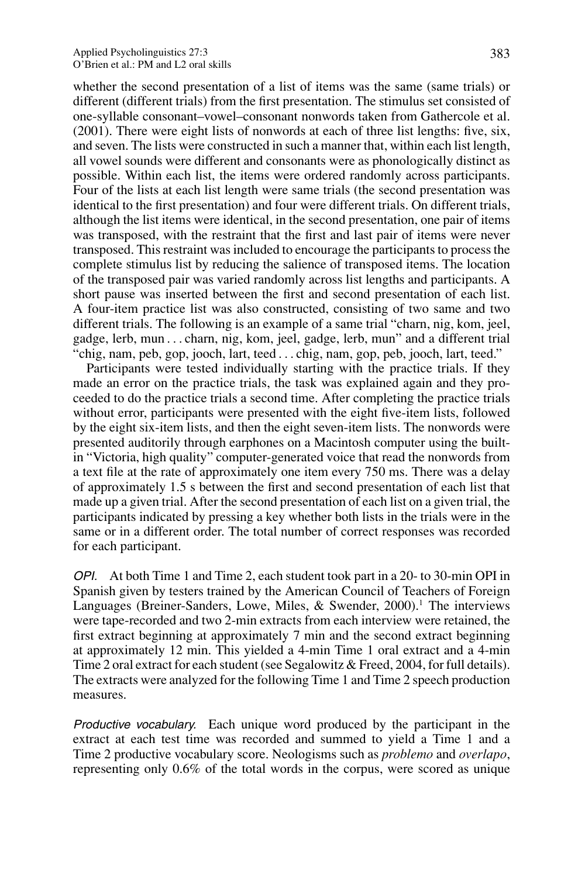whether the second presentation of a list of items was the same (same trials) or different (different trials) from the first presentation. The stimulus set consisted of one-syllable consonant–vowel–consonant nonwords taken from Gathercole et al. (2001). There were eight lists of nonwords at each of three list lengths: five, six, and seven. The lists were constructed in such a manner that, within each list length, all vowel sounds were different and consonants were as phonologically distinct as possible. Within each list, the items were ordered randomly across participants. Four of the lists at each list length were same trials (the second presentation was identical to the first presentation) and four were different trials. On different trials, although the list items were identical, in the second presentation, one pair of items was transposed, with the restraint that the first and last pair of items were never transposed. This restraint was included to encourage the participants to process the complete stimulus list by reducing the salience of transposed items. The location of the transposed pair was varied randomly across list lengths and participants. A short pause was inserted between the first and second presentation of each list. A four-item practice list was also constructed, consisting of two same and two different trials. The following is an example of a same trial "charn, nig, kom, jeel, gadge, lerb, mun *...* charn, nig, kom, jeel, gadge, lerb, mun" and a different trial "chig, nam, peb, gop, jooch, lart, teed *...* chig, nam, gop, peb, jooch, lart, teed."

Participants were tested individually starting with the practice trials. If they made an error on the practice trials, the task was explained again and they proceeded to do the practice trials a second time. After completing the practice trials without error, participants were presented with the eight five-item lists, followed by the eight six-item lists, and then the eight seven-item lists. The nonwords were presented auditorily through earphones on a Macintosh computer using the builtin "Victoria, high quality" computer-generated voice that read the nonwords from a text file at the rate of approximately one item every 750 ms. There was a delay of approximately 1.5 s between the first and second presentation of each list that made up a given trial. After the second presentation of each list on a given trial, the participants indicated by pressing a key whether both lists in the trials were in the same or in a different order. The total number of correct responses was recorded for each participant.

OPI. At both Time 1 and Time 2, each student took part in a 20- to 30-min OPI in Spanish given by testers trained by the American Council of Teachers of Foreign Languages (Breiner-Sanders, Lowe, Miles,  $\&$  Swender, 2000).<sup>1</sup> The interviews were tape-recorded and two 2-min extracts from each interview were retained, the first extract beginning at approximately 7 min and the second extract beginning at approximately 12 min. This yielded a 4-min Time 1 oral extract and a 4-min Time 2 oral extract for each student (see Segalowitz & Freed, 2004, for full details). The extracts were analyzed for the following Time 1 and Time 2 speech production measures.

Productive vocabulary. Each unique word produced by the participant in the extract at each test time was recorded and summed to yield a Time 1 and a Time 2 productive vocabulary score. Neologisms such as *problemo* and *overlapo*, representing only 0.6% of the total words in the corpus, were scored as unique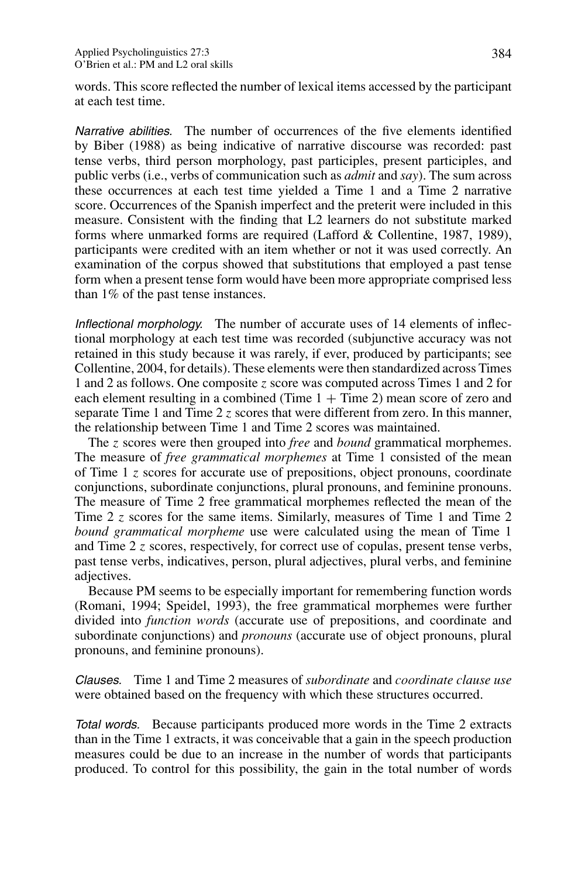words. This score reflected the number of lexical items accessed by the participant at each test time.

Narrative abilities. The number of occurrences of the five elements identified by Biber (1988) as being indicative of narrative discourse was recorded: past tense verbs, third person morphology, past participles, present participles, and public verbs (i.e., verbs of communication such as *admit* and *say*). The sum across these occurrences at each test time yielded a Time 1 and a Time 2 narrative score. Occurrences of the Spanish imperfect and the preterit were included in this measure. Consistent with the finding that L2 learners do not substitute marked forms where unmarked forms are required (Lafford & Collentine, 1987, 1989), participants were credited with an item whether or not it was used correctly. An examination of the corpus showed that substitutions that employed a past tense form when a present tense form would have been more appropriate comprised less than 1% of the past tense instances.

Inflectional morphology. The number of accurate uses of 14 elements of inflectional morphology at each test time was recorded (subjunctive accuracy was not retained in this study because it was rarely, if ever, produced by participants; see Collentine, 2004, for details). These elements were then standardized across Times 1 and 2 as follows. One composite *z* score was computed across Times 1 and 2 for each element resulting in a combined (Time  $1 +$  Time 2) mean score of zero and separate Time 1 and Time 2 *z* scores that were different from zero. In this manner, the relationship between Time 1 and Time 2 scores was maintained.

The *z* scores were then grouped into *free* and *bound* grammatical morphemes. The measure of *free grammatical morphemes* at Time 1 consisted of the mean of Time 1 *z* scores for accurate use of prepositions, object pronouns, coordinate conjunctions, subordinate conjunctions, plural pronouns, and feminine pronouns. The measure of Time 2 free grammatical morphemes reflected the mean of the Time 2 *z* scores for the same items. Similarly, measures of Time 1 and Time 2 *bound grammatical morpheme* use were calculated using the mean of Time 1 and Time 2 *z* scores, respectively, for correct use of copulas, present tense verbs, past tense verbs, indicatives, person, plural adjectives, plural verbs, and feminine adjectives.

Because PM seems to be especially important for remembering function words (Romani, 1994; Speidel, 1993), the free grammatical morphemes were further divided into *function words* (accurate use of prepositions, and coordinate and subordinate conjunctions) and *pronouns* (accurate use of object pronouns, plural pronouns, and feminine pronouns).

Clauses. Time 1 and Time 2 measures of *subordinate* and *coordinate clause use* were obtained based on the frequency with which these structures occurred.

Total words. Because participants produced more words in the Time 2 extracts than in the Time 1 extracts, it was conceivable that a gain in the speech production measures could be due to an increase in the number of words that participants produced. To control for this possibility, the gain in the total number of words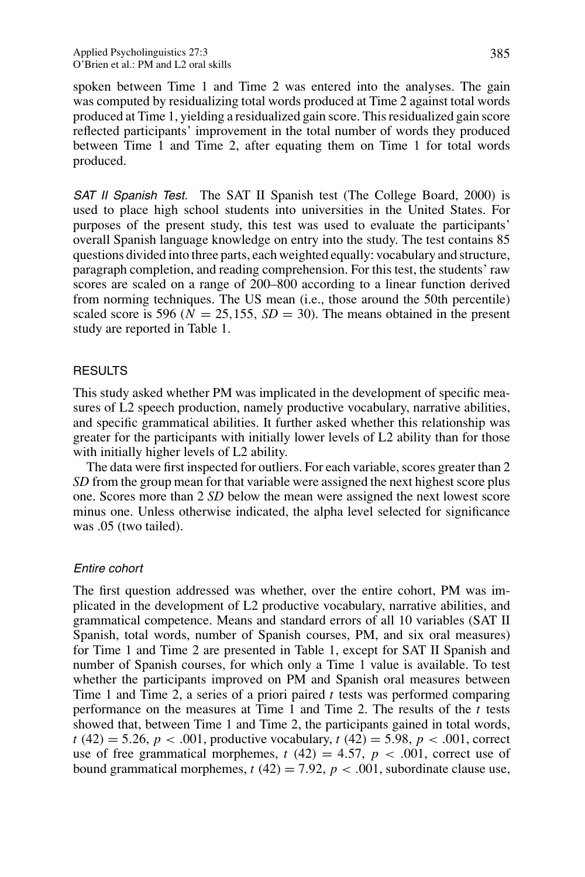spoken between Time 1 and Time 2 was entered into the analyses. The gain was computed by residualizing total words produced at Time 2 against total words produced at Time 1, yielding a residualized gain score. This residualized gain score reflected participants' improvement in the total number of words they produced between Time 1 and Time 2, after equating them on Time 1 for total words produced.

**SAT II Spanish Test.** The SAT II Spanish test (The College Board, 2000) is used to place high school students into universities in the United States. For purposes of the present study, this test was used to evaluate the participants' overall Spanish language knowledge on entry into the study. The test contains 85 questions divided into three parts, each weighted equally: vocabulary and structure, paragraph completion, and reading comprehension. For this test, the students' raw scores are scaled on a range of 200–800 according to a linear function derived from norming techniques. The US mean (i.e., those around the 50th percentile) scaled score is 596 ( $N = 25,155$ ,  $SD = 30$ ). The means obtained in the present study are reported in Table 1.

# RESULTS

This study asked whether PM was implicated in the development of specific measures of L2 speech production, namely productive vocabulary, narrative abilities, and specific grammatical abilities. It further asked whether this relationship was greater for the participants with initially lower levels of L2 ability than for those with initially higher levels of L2 ability.

The data were first inspected for outliers. For each variable, scores greater than 2 *SD* from the group mean for that variable were assigned the next highest score plus one. Scores more than 2 *SD* below the mean were assigned the next lowest score minus one. Unless otherwise indicated, the alpha level selected for significance was .05 (two tailed).

## Entire cohort

The first question addressed was whether, over the entire cohort, PM was implicated in the development of L2 productive vocabulary, narrative abilities, and grammatical competence. Means and standard errors of all 10 variables (SAT II Spanish, total words, number of Spanish courses, PM, and six oral measures) for Time 1 and Time 2 are presented in Table 1, except for SAT II Spanish and number of Spanish courses, for which only a Time 1 value is available. To test whether the participants improved on PM and Spanish oral measures between Time 1 and Time 2, a series of a priori paired *t* tests was performed comparing performance on the measures at Time 1 and Time 2. The results of the *t* tests showed that, between Time 1 and Time 2, the participants gained in total words, *t* (42) = 5.26, *p* < .001, productive vocabulary, *t* (42) = 5.98, *p* < .001, correct use of free grammatical morphemes,  $t(42) = 4.57$ ,  $p < .001$ , correct use of bound grammatical morphemes,  $t(42) = 7.92$ ,  $p < .001$ , subordinate clause use,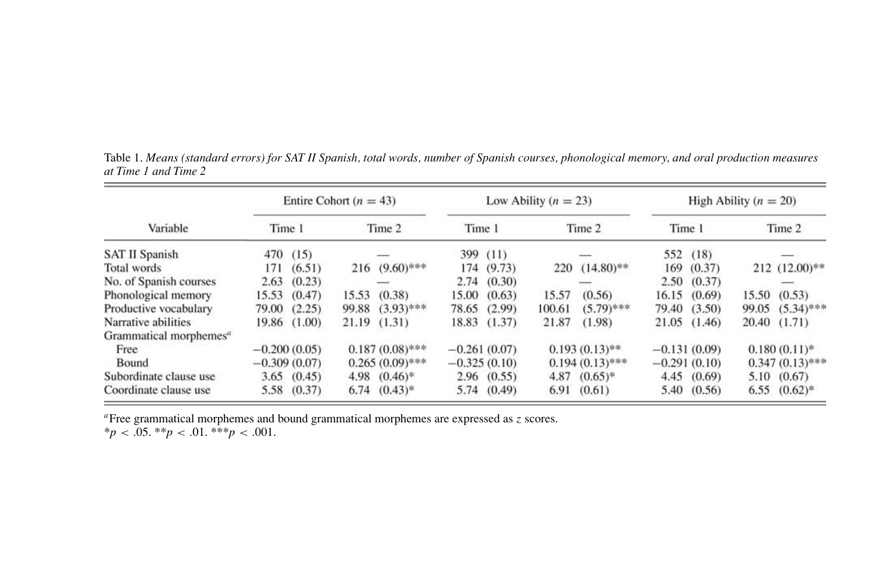|                                    |        | Entire Cohort ( $n = 43$ ) |       |                   |        |                | Low Ability ( $n = 23$ ) |                    |                |        | High Ability $(n = 20)$ |                    |
|------------------------------------|--------|----------------------------|-------|-------------------|--------|----------------|--------------------------|--------------------|----------------|--------|-------------------------|--------------------|
| Variable                           | Time 1 |                            |       | Time 2            | Time 1 |                |                          | Time 2             | Time 1         |        |                         | Time 2             |
| <b>SAT II Spanish</b>              |        | 470 (15)                   |       |                   |        | 399 (11)       |                          |                    | 552            | (18)   |                         |                    |
| Total words                        | 171    | (6.51)                     | 216   | $(9.60)$ ***      |        | 174 (9.73)     |                          | $220$ $(14.80)$ ** | 169            | (0.37) |                         | $212$ $(12.00)$ ** |
| No. of Spanish courses             | 2.63   | (0.23)                     |       |                   |        | 2.74(0.30)     |                          |                    | 2.50           | (0.37) |                         |                    |
| Phonological memory                | 15.53  | (0.47)                     | 15.53 | (0.38)            |        | 15.00(0.63)    | 15.57                    | (0.56)             | 16.15          | (0.69) | 15.50                   | (0.53)             |
| Productive vocabulary              | 79.00  | (2.25)                     | 99.88 | $(3.93)$ ***      | 78.65  | (2.99)         | 100.61                   | $(5.79)$ ***       | 79.40          | (3.50) | 99.05                   | $(5.34)$ ***       |
| Narrative abilities                | 19.86  | (1.00)                     | 21.19 | (1.31)            |        | 18.83 (1.37)   | 21.87                    | (1.98)             | 21.05          | (1.46) |                         | 20.40 (1.71)       |
| Grammatical morphemes <sup>a</sup> |        |                            |       |                   |        |                |                          |                    |                |        |                         |                    |
| Free                               |        | $-0.200(0.05)$             |       | $0.187(0.08)$ *** |        | $-0.261(0.07)$ |                          | $0.193(0.13)$ **   | $-0.131(0.09)$ |        |                         | $0.180(0.11)$ *    |
| Bound                              |        | $-0.309(0.07)$             |       | $0.265(0.09)$ *** |        | $-0.325(0.10)$ |                          | $0.194(0.13)$ ***  | $-0.291(0.10)$ |        |                         | $0.347(0.13)$ ***  |
| Subordinate clause use             |        | 3.65(0.45)                 | 4.98  | $(0.46)$ *        |        | 2.96(0.55)     | 4.87                     | $(0.65)*$          | 4.45           | (0.69) | 5.10                    | (0.67)             |
| Coordinate clause use              | 5.58   | (0.37)                     |       | $6.74$ $(0.43)*$  |        | 5.74 (0.49)    | 6.91                     | (0.61)             | 5.40           | (0.56) | 6.55                    | $(0.62)$ *         |

Table 1. Means (standard errors) for SAT II Spanish, total words, number of Spanish courses, phonological memory, and oral production measures *at Time 1 and Time 2*

*<sup>a</sup>*Free grammatical morphemes and bound grammatical morphemes are expressed as *<sup>z</sup>* scores.

 $**p* < .05. ***p* < .01. ****p* < .001.$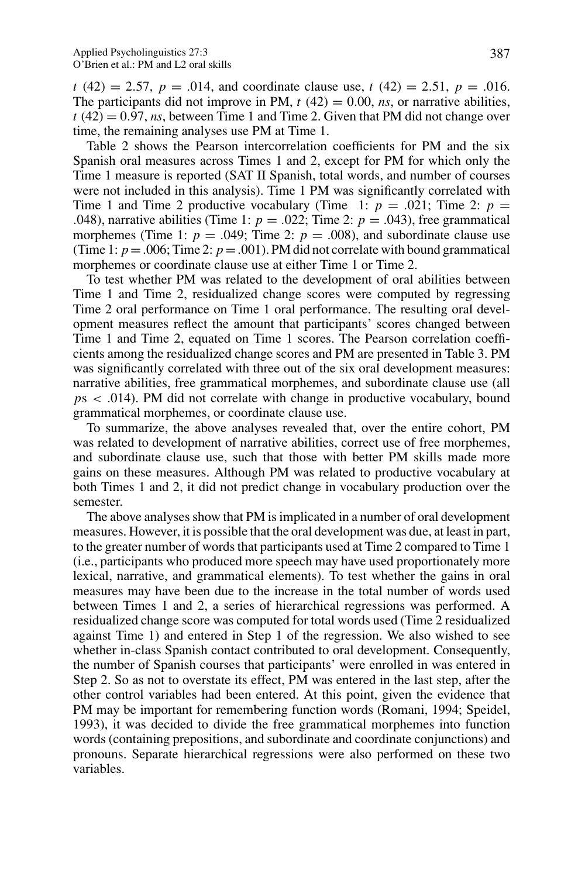$t(42) = 2.57$ ,  $p = .014$ , and coordinate clause use,  $t(42) = 2.51$ ,  $p = .016$ . The participants did not improve in PM,  $t(42) = 0.00$ , *ns*, or narrative abilities,  $t(42) = 0.97$ , *ns*, between Time 1 and Time 2. Given that PM did not change over time, the remaining analyses use PM at Time 1.

Table 2 shows the Pearson intercorrelation coefficients for PM and the six Spanish oral measures across Times 1 and 2, except for PM for which only the Time 1 measure is reported (SAT II Spanish, total words, and number of courses were not included in this analysis). Time 1 PM was significantly correlated with Time 1 and Time 2 productive vocabulary (Time 1:  $p = .021$ ; Time 2:  $p =$ *.*048), narrative abilities (Time 1:  $p = .022$ ; Time 2:  $p = .043$ ), free grammatical morphemes (Time 1:  $p = .049$ ; Time 2:  $p = .008$ ), and subordinate clause use (Time 1:  $p = .006$ ; Time 2:  $p = .001$ ). PM did not correlate with bound grammatical morphemes or coordinate clause use at either Time 1 or Time 2.

To test whether PM was related to the development of oral abilities between Time 1 and Time 2, residualized change scores were computed by regressing Time 2 oral performance on Time 1 oral performance. The resulting oral development measures reflect the amount that participants' scores changed between Time 1 and Time 2, equated on Time 1 scores. The Pearson correlation coefficients among the residualized change scores and PM are presented in Table 3. PM was significantly correlated with three out of the six oral development measures: narrative abilities, free grammatical morphemes, and subordinate clause use (all *p*s *< .*014). PM did not correlate with change in productive vocabulary, bound grammatical morphemes, or coordinate clause use.

To summarize, the above analyses revealed that, over the entire cohort, PM was related to development of narrative abilities, correct use of free morphemes, and subordinate clause use, such that those with better PM skills made more gains on these measures. Although PM was related to productive vocabulary at both Times 1 and 2, it did not predict change in vocabulary production over the semester.

The above analyses show that PM is implicated in a number of oral development measures. However, it is possible that the oral development was due, at least in part, to the greater number of words that participants used at Time 2 compared to Time 1 (i.e., participants who produced more speech may have used proportionately more lexical, narrative, and grammatical elements). To test whether the gains in oral measures may have been due to the increase in the total number of words used between Times 1 and 2, a series of hierarchical regressions was performed. A residualized change score was computed for total words used (Time 2 residualized against Time 1) and entered in Step 1 of the regression. We also wished to see whether in-class Spanish contact contributed to oral development. Consequently, the number of Spanish courses that participants' were enrolled in was entered in Step 2. So as not to overstate its effect, PM was entered in the last step, after the other control variables had been entered. At this point, given the evidence that PM may be important for remembering function words (Romani, 1994; Speidel, 1993), it was decided to divide the free grammatical morphemes into function words (containing prepositions, and subordinate and coordinate conjunctions) and pronouns. Separate hierarchical regressions were also performed on these two variables.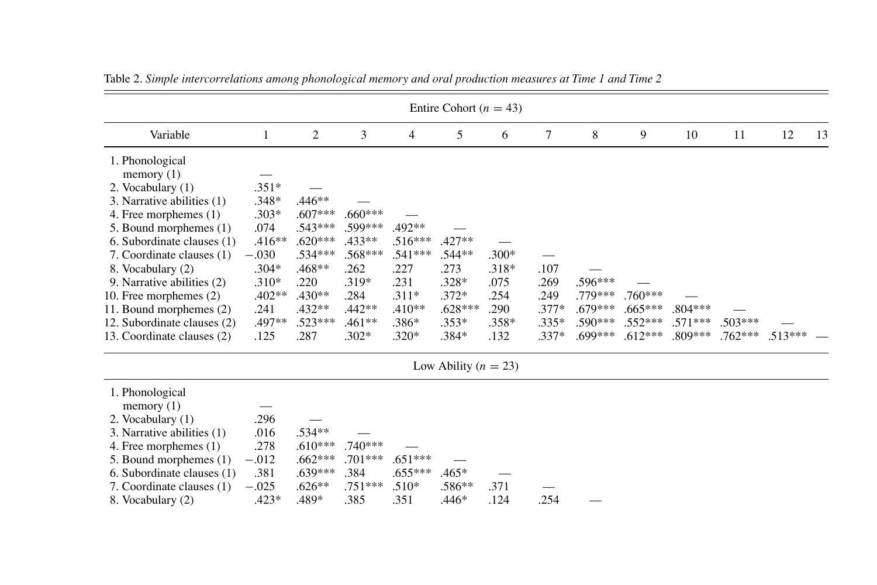|                                                                                                                                                                                                                                                                                                                                                                       |                                                                                                                          |                                                                                                                             |                                                                                                             |                                                                                             | Entire Cohort ( $n = 43$ )                                                            |                                                               |                                                       |                                                         |                                                  |                                  |                        |           |    |
|-----------------------------------------------------------------------------------------------------------------------------------------------------------------------------------------------------------------------------------------------------------------------------------------------------------------------------------------------------------------------|--------------------------------------------------------------------------------------------------------------------------|-----------------------------------------------------------------------------------------------------------------------------|-------------------------------------------------------------------------------------------------------------|---------------------------------------------------------------------------------------------|---------------------------------------------------------------------------------------|---------------------------------------------------------------|-------------------------------------------------------|---------------------------------------------------------|--------------------------------------------------|----------------------------------|------------------------|-----------|----|
| Variable                                                                                                                                                                                                                                                                                                                                                              | $\mathbf{1}$                                                                                                             | 2                                                                                                                           | 3                                                                                                           | 4                                                                                           | 5                                                                                     | 6                                                             | $\tau$                                                | 8                                                       | 9                                                | 10                               | 11                     | 12        | 13 |
| 1. Phonological<br>memory $(1)$<br>2. Vocabulary (1)<br>3. Narrative abilities (1)<br>4. Free morphemes (1)<br>5. Bound morphemes (1)<br>6. Subordinate clauses (1)<br>7. Coordinate clauses (1)<br>8. Vocabulary (2)<br>9. Narrative abilities (2)<br>10. Free morphemes (2)<br>11. Bound morphemes (2)<br>12. Subordinate clauses (2)<br>13. Coordinate clauses (2) | $.351*$<br>$.348*$<br>$.303*$<br>.074<br>$.416**$<br>$-.030$<br>$.304*$<br>$.310*$<br>$.402**$<br>.241<br>.497**<br>.125 | $.446**$<br>$.607***$<br>$.543***$<br>$.620***$<br>$.534***$<br>.468**<br>.220<br>$.430**$<br>$.432**$<br>$.523***$<br>.287 | $.660***$<br>.599***<br>$.433**$<br>$.568***$<br>.262<br>$.319*$<br>.284<br>$.442**$<br>$.461**$<br>$.302*$ | .492**<br>$.516***$<br>$.541***$<br>.227<br>.231<br>$.311*$<br>$.410**$<br>.386*<br>$.320*$ | $.427**$<br>$.544**$<br>.273<br>$.328*$<br>$.372*$<br>$.628***$<br>$.353*$<br>$.384*$ | $.300*$<br>$.318*$<br>.075<br>.254<br>.290<br>$.358*$<br>.132 | .107<br>.269<br>.249<br>$.377*$<br>$.335*$<br>$.337*$ | .596***<br>.779***<br>$.679***$<br>$.590***$<br>.699*** | $.760***$<br>$.665***$<br>$.552***$<br>$.612***$ | $.804***$<br>$.571***$<br>809*** | $.503***$<br>$.762***$ | $.513***$ |    |
|                                                                                                                                                                                                                                                                                                                                                                       |                                                                                                                          |                                                                                                                             |                                                                                                             |                                                                                             | Low Ability ( $n = 23$ )                                                              |                                                               |                                                       |                                                         |                                                  |                                  |                        |           |    |
| 1. Phonological<br>memory $(1)$<br>2. Vocabulary (1)<br>3. Narrative abilities (1)<br>4. Free morphemes (1)<br>5. Bound morphemes (1)<br>6. Subordinate clauses (1)<br>7. Coordinate clauses (1)<br>8. Vocabulary (2)                                                                                                                                                 | .296<br>.016<br>.278<br>$-.012$<br>.381<br>$-.025$<br>$.423*$                                                            | .534**<br>$.610***$<br>$.662***$<br>$.639***$<br>$.626**$<br>.489*                                                          | $.740***$<br>$.701***$<br>.384<br>$.751***$<br>.385                                                         | $.651***$<br>$.655***$<br>$.510*$<br>.351                                                   | $.465*$<br>$.586**$<br>$.446*$                                                        | .371<br>.124                                                  | .254                                                  |                                                         |                                                  |                                  |                        |           |    |

Table 2. Simple intercorrelations among phonological memory and oral production measures at Time 1 and Time 2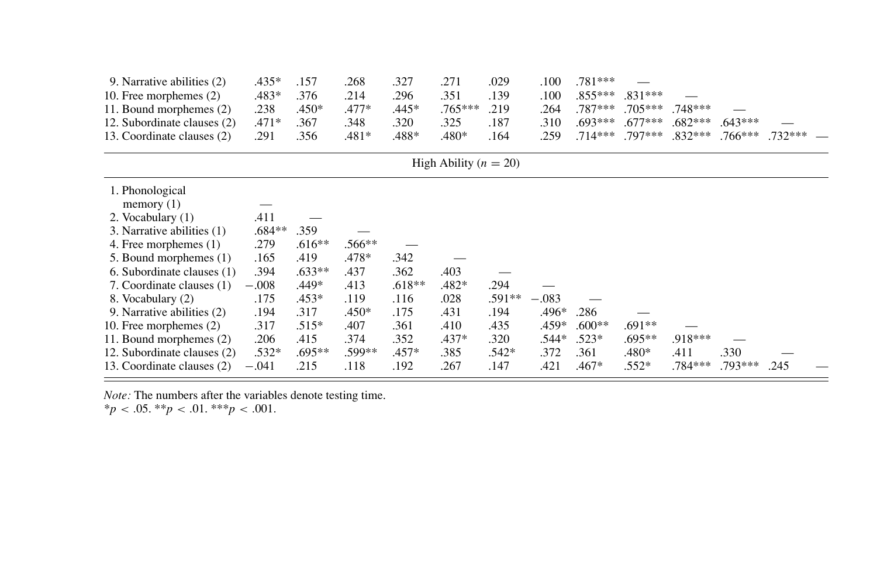| 9. Narrative abilities (2)  | .435*    | .157     | .268     | .327     | .271                      | .029     | .100    | .781***  |           |           |           |           |  |
|-----------------------------|----------|----------|----------|----------|---------------------------|----------|---------|----------|-----------|-----------|-----------|-----------|--|
| 10. Free morphemes (2)      | .483*    | .376     | .214     | .296     | .351                      | .139     | .100    | .855***  | .831***   |           |           |           |  |
| 11. Bound morphemes (2)     | .238     | .450*    | $.477*$  | .445*    | $.765***$                 | .219     | .264    | .787***  | $.705***$ | $.748***$ |           |           |  |
| 12. Subordinate clauses (2) | $.471*$  | .367     | .348     | .320     | .325                      | .187     | .310    | .693***  | $.677***$ | $.682***$ | $.643***$ |           |  |
| 13. Coordinate clauses (2)  | .291     | .356     | $.481*$  | .488*    | .480*                     | .164     | .259    | .714***  | .797***   | $.832***$ | $.766***$ | $.732***$ |  |
|                             |          |          |          |          | High Ability ( $n = 20$ ) |          |         |          |           |           |           |           |  |
| 1. Phonological             |          |          |          |          |                           |          |         |          |           |           |           |           |  |
| memory $(1)$                |          |          |          |          |                           |          |         |          |           |           |           |           |  |
| 2. Vocabulary (1)           | .411     |          |          |          |                           |          |         |          |           |           |           |           |  |
| 3. Narrative abilities (1)  | $.684**$ | .359     |          |          |                           |          |         |          |           |           |           |           |  |
| 4. Free morphemes (1)       | .279     | $.616**$ | $.566**$ |          |                           |          |         |          |           |           |           |           |  |
| 5. Bound morphemes (1)      | .165     | .419     | .478*    | .342     |                           |          |         |          |           |           |           |           |  |
| 6. Subordinate clauses (1)  | .394     | $.633**$ | .437     | .362     | .403                      |          |         |          |           |           |           |           |  |
| 7. Coordinate clauses (1)   | $-.008$  | .449*    | .413     | $.618**$ | $.482*$                   | .294     |         |          |           |           |           |           |  |
| 8. Vocabulary (2)           | .175     | .453*    | .119     | .116     | .028                      | $.591**$ | $-.083$ |          |           |           |           |           |  |
| 9. Narrative abilities (2)  | .194     | .317     | .450*    | .175     | .431                      | .194     | .496*   | .286     |           |           |           |           |  |
| 10. Free morphemes (2)      | .317     | $.515*$  | .407     | .361     | .410                      | .435     | .459*   | $.600**$ | .691**    |           |           |           |  |
| 11. Bound morphemes (2)     | .206     | .415     | .374     | .352     | $.437*$                   | .320     | .544*   | $.523*$  | .695**    | .918***   |           |           |  |
| 12. Subordinate clauses (2) | .532*    | .695**   | .599**   | $.457*$  | .385                      | .542*    | .372    | .361     | .480*     | .411      | .330      |           |  |
| 13. Coordinate clauses (2)  | $-.041$  | .215     | .118     | .192     | .267                      | .147     | .421    | $.467*$  | $.552*$   | .784***   | $.793***$ | .245      |  |
|                             |          |          |          |          |                           |          |         |          |           |           |           |           |  |

*Note:* The numbers after the variables denote testing time.

 $*_{p}$  < .05.  $*_{p}$  < .01.  $*_{p}$  < .001*.*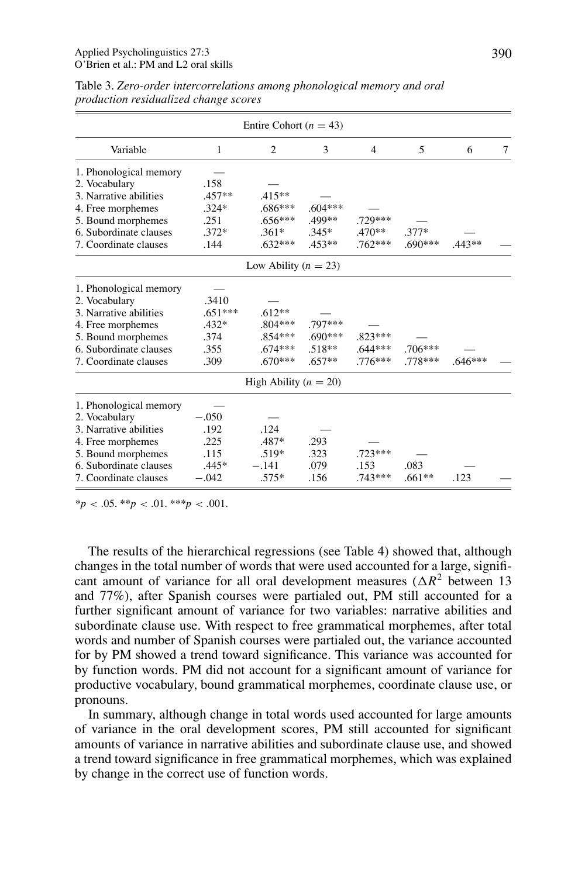|                        |              | Entire Cohort ( $n = 43$ ) |           |                |           |           |   |
|------------------------|--------------|----------------------------|-----------|----------------|-----------|-----------|---|
| Variable               | $\mathbf{1}$ | 2                          | 3         | $\overline{4}$ | 5         | 6         | 7 |
| 1. Phonological memory |              |                            |           |                |           |           |   |
| 2. Vocabulary          | .158         |                            |           |                |           |           |   |
| 3. Narrative abilities | $.457**$     | $.415**$                   |           |                |           |           |   |
| 4. Free morphemes      | $.324*$      | $.686***$                  | $.604***$ |                |           |           |   |
| 5. Bound morphemes     | .251         | $.656***$                  | $.499**$  | .729***        |           |           |   |
| 6. Subordinate clauses | $.372*$      | $.361*$                    | $.345*$   | $.470**$       | $.377*$   |           |   |
| 7. Coordinate clauses  | .144         | $.632***$                  | $.453**$  | $.762***$      | $.690***$ | $.443**$  |   |
|                        |              | Low Ability ( $n = 23$ )   |           |                |           |           |   |
| 1. Phonological memory |              |                            |           |                |           |           |   |
| 2. Vocabulary          | .3410        |                            |           |                |           |           |   |
| 3. Narrative abilities | $.651***$    | $.612**$                   |           |                |           |           |   |
| 4. Free morphemes      | $.432*$      | $.804***$                  | .797***   |                |           |           |   |
| 5. Bound morphemes     | .374         | .854***                    | $.690***$ | $.823***$      |           |           |   |
| 6. Subordinate clauses | .355         | $.674***$                  | $.518**$  | $.644***$      | $.706***$ |           |   |
| 7. Coordinate clauses  | .309         | $.670***$                  | $.657**$  | $.776***$      | $.778***$ | $.646***$ |   |
|                        |              | High Ability $(n = 20)$    |           |                |           |           |   |
| 1. Phonological memory |              |                            |           |                |           |           |   |
| 2. Vocabulary          | $-.050$      |                            |           |                |           |           |   |
| 3. Narrative abilities | .192         | .124                       |           |                |           |           |   |
| 4. Free morphemes      | .225         | $.487*$                    | .293      |                |           |           |   |
| 5. Bound morphemes     | .115         | $.519*$                    | .323      | $.723***$      |           |           |   |
| 6. Subordinate clauses | $.445*$      | $-.141$                    | .079      | .153           | .083      |           |   |
| 7. Coordinate clauses  | $-.042$      | $.575*$                    | .156      | $.743***$      | $.661**$  | .123      |   |

Table 3. *Zero-order intercorrelations among phonological memory and oral production residualized change scores*

 $*_{p}$  < .05. \*\**p* < .01. \*\*\**p* < .001.

The results of the hierarchical regressions (see Table 4) showed that, although changes in the total number of words that were used accounted for a large, significant amount of variance for all oral development measures  $(\Delta R^2)$  between 13 and 77%), after Spanish courses were partialed out, PM still accounted for a further significant amount of variance for two variables: narrative abilities and subordinate clause use. With respect to free grammatical morphemes, after total words and number of Spanish courses were partialed out, the variance accounted for by PM showed a trend toward significance. This variance was accounted for by function words. PM did not account for a significant amount of variance for productive vocabulary, bound grammatical morphemes, coordinate clause use, or pronouns.

In summary, although change in total words used accounted for large amounts of variance in the oral development scores, PM still accounted for significant amounts of variance in narrative abilities and subordinate clause use, and showed a trend toward significance in free grammatical morphemes, which was explained by change in the correct use of function words.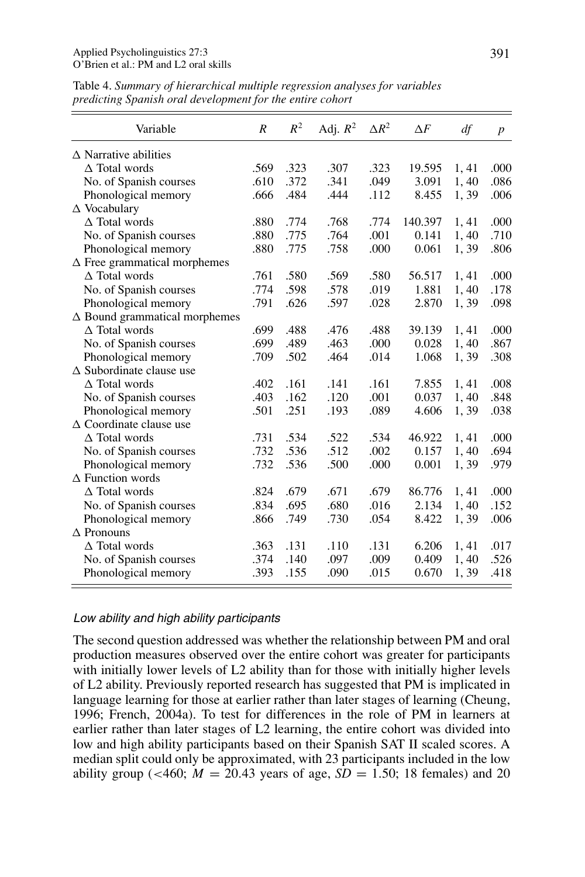| Variable                             | R    | $R^2$ | Adj. $R^2$ | $\Delta R^2$ | $\Delta F$ | df    | $\boldsymbol{p}$ |
|--------------------------------------|------|-------|------------|--------------|------------|-------|------------------|
| $\triangle$ Narrative abilities      |      |       |            |              |            |       |                  |
| $\Delta$ Total words                 | .569 | .323  | .307       | .323         | 19.595     | 1, 41 | .000             |
| No. of Spanish courses               | .610 | .372  | .341       | .049         | 3.091      | 1,40  | .086             |
| Phonological memory                  | .666 | .484  | .444       | .112         | 8.455      | 1,39  | .006             |
| $\triangle$ Vocabulary               |      |       |            |              |            |       |                  |
| $\Delta$ Total words                 | .880 | .774  | .768       | .774         | 140.397    | 1,41  | .000             |
| No. of Spanish courses               | .880 | .775  | .764       | .001         | 0.141      | 1,40  | .710             |
| Phonological memory                  | .880 | .775  | .758       | .000         | 0.061      | 1,39  | .806             |
| $\Delta$ Free grammatical morphemes  |      |       |            |              |            |       |                  |
| $\triangle$ Total words              | .761 | .580  | .569       | .580         | 56.517     | 1,41  | .000             |
| No. of Spanish courses               | .774 | .598  | .578       | .019         | 1.881      | 1,40  | .178             |
| Phonological memory                  | .791 | .626  | .597       | .028         | 2.870      | 1,39  | .098             |
| $\Delta$ Bound grammatical morphemes |      |       |            |              |            |       |                  |
| $\Delta$ Total words                 | .699 | .488  | .476       | .488         | 39.139     | 1,41  | .000             |
| No. of Spanish courses               | .699 | .489  | .463       | .000         | 0.028      | 1,40  | .867             |
| Phonological memory                  | .709 | .502  | .464       | .014         | 1.068      | 1,39  | .308             |
| $\triangle$ Subordinate clause use   |      |       |            |              |            |       |                  |
| $\Delta$ Total words                 | .402 | .161  | .141       | .161         | 7.855      | 1,41  | .008             |
| No. of Spanish courses               | .403 | .162  | .120       | .001         | 0.037      | 1,40  | .848             |
| Phonological memory                  | .501 | .251  | .193       | .089         | 4.606      | 1,39  | .038             |
| $\triangle$ Coordinate clause use    |      |       |            |              |            |       |                  |
| $\Delta$ Total words                 | .731 | .534  | .522       | .534         | 46.922     | 1,41  | .000             |
| No. of Spanish courses               | .732 | .536  | .512       | .002         | 0.157      | 1,40  | .694             |
| Phonological memory                  | .732 | .536  | .500       | .000         | 0.001      | 1,39  | .979             |
| $\Delta$ Function words              |      |       |            |              |            |       |                  |
| $\Delta$ Total words                 | .824 | .679  | .671       | .679         | 86.776     | 1,41  | .000             |
| No. of Spanish courses               | .834 | .695  | .680       | .016         | 2.134      | 1,40  | .152             |
| Phonological memory                  | .866 | .749  | .730       | .054         | 8.422      | 1,39  | .006             |
| $\triangle$ Pronouns                 |      |       |            |              |            |       |                  |
| $\Delta$ Total words                 | .363 | .131  | .110       | .131         | 6.206      | 1,41  | .017             |
| No. of Spanish courses               | .374 | .140  | .097       | .009         | 0.409      | 1,40  | .526             |
| Phonological memory                  | .393 | .155  | .090       | .015         | 0.670      | 1,39  | .418             |

Table 4. *Summary of hierarchical multiple regression analyses for variables predicting Spanish oral development for the entire cohort*

#### Low ability and high ability participants

The second question addressed was whether the relationship between PM and oral production measures observed over the entire cohort was greater for participants with initially lower levels of L2 ability than for those with initially higher levels of L2 ability. Previously reported research has suggested that PM is implicated in language learning for those at earlier rather than later stages of learning (Cheung, 1996; French, 2004a). To test for differences in the role of PM in learners at earlier rather than later stages of L2 learning, the entire cohort was divided into low and high ability participants based on their Spanish SAT II scaled scores. A median split could only be approximated, with 23 participants included in the low ability group ( $\lt$ 460; *M* = 20.43 years of age, *SD* = 1.50; 18 females) and 20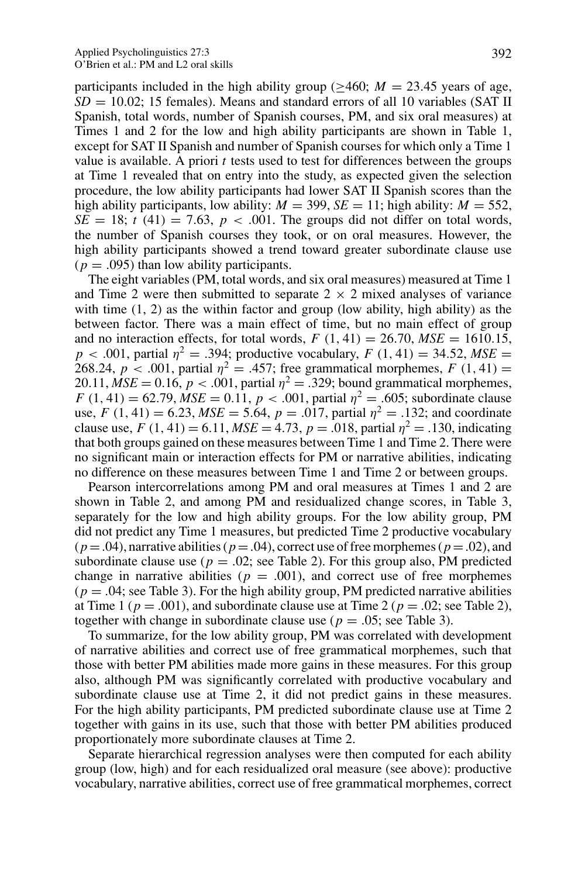participants included in the high ability group ( $\geq 460$ ; *M* = 23.45 years of age,  $SD = 10.02$ ; 15 females). Means and standard errors of all 10 variables (SAT II) Spanish, total words, number of Spanish courses, PM, and six oral measures) at Times 1 and 2 for the low and high ability participants are shown in Table 1, except for SAT II Spanish and number of Spanish courses for which only a Time 1 value is available. A priori *t* tests used to test for differences between the groups at Time 1 revealed that on entry into the study, as expected given the selection procedure, the low ability participants had lower SAT II Spanish scores than the high ability participants, low ability:  $M = 399$ ,  $SE = 11$ ; high ability:  $M = 552$ ,  $SE = 18$ ;  $t(41) = 7.63$ ,  $p < .001$ . The groups did not differ on total words, the number of Spanish courses they took, or on oral measures. However, the high ability participants showed a trend toward greater subordinate clause use  $(p = .095)$  than low ability participants.

The eight variables (PM, total words, and six oral measures) measured at Time 1 and Time 2 were then submitted to separate  $2 \times 2$  mixed analyses of variance with time  $(1, 2)$  as the within factor and group (low ability, high ability) as the between factor. There was a main effect of time, but no main effect of group and no interaction effects, for total words,  $F(1, 41) = 26.70$ ,  $MSE = 1610.15$ , *p* < *.*001, partial  $\eta^2 = .394$ ; productive vocabulary, *F* (1, 41) = 34*.52*, *MSE* = 268.24,  $p < .001$ , partial  $\eta^2 = .457$ ; free grammatical morphemes,  $F(1, 41) =$ 20.11,  $MSE = 0.16$ ,  $p < .001$ , partial  $\eta^2 = .329$ ; bound grammatical morphemes,  $F(1, 41) = 62.79$ ,  $MSE = 0.11$ ,  $p < .001$ , partial  $\eta^2 = .605$ ; subordinate clause use,  $F(1, 41) = 6.23$ ,  $MSE = 5.64$ ,  $p = .017$ , partial  $\eta^2 = .132$ ; and coordinate clause use,  $F(1, 41) = 6.11$ ,  $MSE = 4.73$ ,  $p = .018$ , partial  $\eta^2 = .130$ , indicating that both groups gained on these measures between Time 1 and Time 2. There were no significant main or interaction effects for PM or narrative abilities, indicating no difference on these measures between Time 1 and Time 2 or between groups.

Pearson intercorrelations among PM and oral measures at Times 1 and 2 are shown in Table 2, and among PM and residualized change scores, in Table 3, separately for the low and high ability groups. For the low ability group, PM did not predict any Time 1 measures, but predicted Time 2 productive vocabulary  $(p = .04)$ , narrative abilities ( $p = .04$ ), correct use of free morphemes ( $p = .02$ ), and subordinate clause use  $(p = .02;$  see Table 2). For this group also, PM predicted change in narrative abilities ( $p = .001$ ), and correct use of free morphemes  $(p = .04;$  see Table 3). For the high ability group, PM predicted narrative abilities at Time 1 ( $p = .001$ ), and subordinate clause use at Time 2 ( $p = .02$ ; see Table 2), together with change in subordinate clause use ( $p = .05$ ; see Table 3).

To summarize, for the low ability group, PM was correlated with development of narrative abilities and correct use of free grammatical morphemes, such that those with better PM abilities made more gains in these measures. For this group also, although PM was significantly correlated with productive vocabulary and subordinate clause use at Time 2, it did not predict gains in these measures. For the high ability participants, PM predicted subordinate clause use at Time 2 together with gains in its use, such that those with better PM abilities produced proportionately more subordinate clauses at Time 2.

Separate hierarchical regression analyses were then computed for each ability group (low, high) and for each residualized oral measure (see above): productive vocabulary, narrative abilities, correct use of free grammatical morphemes, correct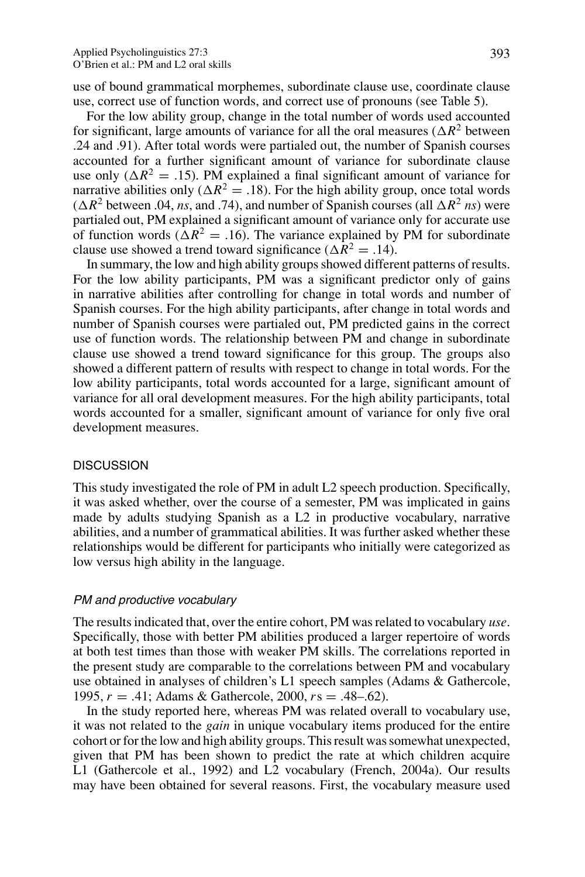use of bound grammatical morphemes, subordinate clause use, coordinate clause use, correct use of function words, and correct use of pronouns (see Table 5).

For the low ability group, change in the total number of words used accounted for significant, large amounts of variance for all the oral measures ( $\Delta R^2$  between .24 and .91). After total words were partialed out, the number of Spanish courses accounted for a further significant amount of variance for subordinate clause use only ( $\Delta R^2 = .15$ ). PM explained a final significant amount of variance for narrative abilities only ( $\Delta R^2 = .18$ ). For the high ability group, once total words ( $\Delta R^2$  between .04, *ns*, and .74), and number of Spanish courses (all  $\Delta R^2$  *ns*) were partialed out, PM explained a significant amount of variance only for accurate use of function words ( $\Delta R^2 = .16$ ). The variance explained by PM for subordinate clause use showed a trend toward significance ( $\Delta R^2 = .14$ ).

In summary, the low and high ability groups showed different patterns of results. For the low ability participants, PM was a significant predictor only of gains in narrative abilities after controlling for change in total words and number of Spanish courses. For the high ability participants, after change in total words and number of Spanish courses were partialed out, PM predicted gains in the correct use of function words. The relationship between PM and change in subordinate clause use showed a trend toward significance for this group. The groups also showed a different pattern of results with respect to change in total words. For the low ability participants, total words accounted for a large, significant amount of variance for all oral development measures. For the high ability participants, total words accounted for a smaller, significant amount of variance for only five oral development measures.

# DISCUSSION

This study investigated the role of PM in adult L2 speech production. Specifically, it was asked whether, over the course of a semester, PM was implicated in gains made by adults studying Spanish as a L2 in productive vocabulary, narrative abilities, and a number of grammatical abilities. It was further asked whether these relationships would be different for participants who initially were categorized as low versus high ability in the language.

#### PM and productive vocabulary

The results indicated that, over the entire cohort, PM was related to vocabulary *use*. Specifically, those with better PM abilities produced a larger repertoire of words at both test times than those with weaker PM skills. The correlations reported in the present study are comparable to the correlations between PM and vocabulary use obtained in analyses of children's L1 speech samples (Adams & Gathercole, 1995, *r* = *.*41; Adams & Gathercole, 2000, *r*s = *.*48–.62).

In the study reported here, whereas PM was related overall to vocabulary use, it was not related to the *gain* in unique vocabulary items produced for the entire cohort or for the low and high ability groups. This result was somewhat unexpected, given that PM has been shown to predict the rate at which children acquire L1 (Gathercole et al., 1992) and L2 vocabulary (French, 2004a). Our results may have been obtained for several reasons. First, the vocabulary measure used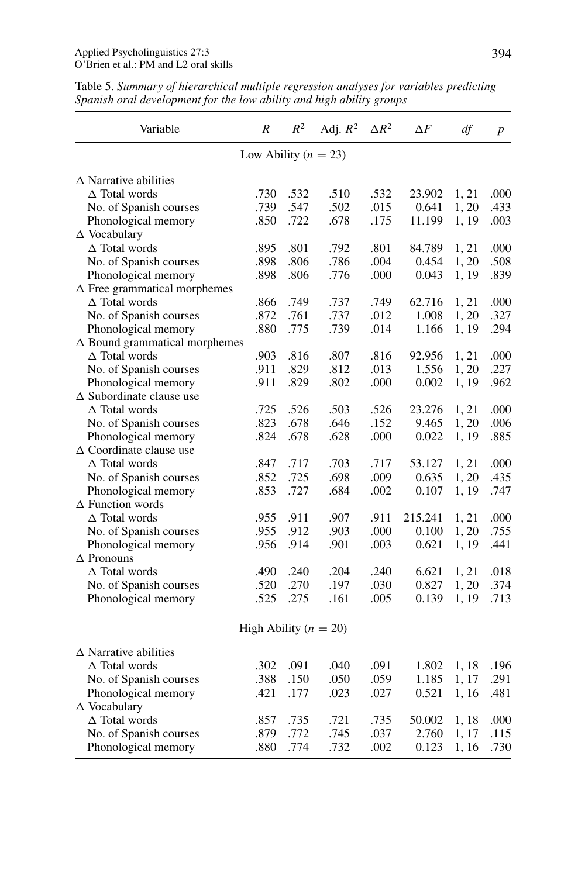| Variable                             | $\boldsymbol{R}$         | $R^2$ | Adj. $R^2$                | $\Delta R^2$ | $\Delta F$ | df    | $\boldsymbol{p}$ |
|--------------------------------------|--------------------------|-------|---------------------------|--------------|------------|-------|------------------|
|                                      | Low Ability ( $n = 23$ ) |       |                           |              |            |       |                  |
| $\triangle$ Narrative abilities      |                          |       |                           |              |            |       |                  |
| $\Delta$ Total words                 | .730                     | .532  | .510                      | .532         | 23.902     | 1, 21 | .000             |
| No. of Spanish courses               | .739                     | .547  | .502                      | .015         | 0.641      | 1, 20 | .433             |
| Phonological memory                  | .850                     | .722  | .678                      | .175         | 11.199     | 1, 19 | .003             |
| $\triangle$ Vocabulary               |                          |       |                           |              |            |       |                  |
| $\Delta$ Total words                 | .895                     | .801  | .792                      | .801         | 84.789     | 1, 21 | .000             |
| No. of Spanish courses               | .898                     | .806  | .786                      | .004         | 0.454      | 1, 20 | .508             |
| Phonological memory                  | .898                     | .806  | .776                      | .000         | 0.043      | 1, 19 | .839             |
| $\Delta$ Free grammatical morphemes  |                          |       |                           |              |            |       |                  |
| $\Delta$ Total words                 | .866                     | .749  | .737                      | .749         | 62.716     | 1, 21 | .000             |
| No. of Spanish courses               | .872                     | .761  | .737                      | .012         | 1.008      | 1, 20 | .327             |
| Phonological memory                  | .880                     | .775  | .739                      | .014         | 1.166      | 1, 19 | .294             |
| $\Delta$ Bound grammatical morphemes |                          |       |                           |              |            |       |                  |
| $\Delta$ Total words                 | .903                     | .816  | .807                      | .816         | 92.956     | 1, 21 | .000             |
| No. of Spanish courses               | .911                     | .829  | .812                      | .013         | 1.556      | 1, 20 | .227             |
| Phonological memory                  | .911                     | .829  | .802                      | .000         | 0.002      | 1, 19 | .962             |
| $\Delta$ Subordinate clause use      |                          |       |                           |              |            |       |                  |
| $\triangle$ Total words              | .725                     | .526  | .503                      | .526         | 23.276     | 1, 21 | .000             |
| No. of Spanish courses               | .823                     | .678  | .646                      | .152         | 9.465      | 1, 20 | .006             |
| Phonological memory                  | .824                     | .678  | .628                      | .000         | 0.022      | 1, 19 | .885             |
| $\triangle$ Coordinate clause use    |                          |       |                           |              |            |       |                  |
| $\triangle$ Total words              | .847                     | .717  | .703                      | .717         | 53.127     | 1, 21 | .000             |
| No. of Spanish courses               | .852                     | .725  | .698                      | .009         | 0.635      | 1, 20 | .435             |
| Phonological memory                  | .853                     | .727  | .684                      | .002         | 0.107      | 1, 19 | .747             |
| $\Delta$ Function words              |                          |       |                           |              |            |       |                  |
| $\Delta$ Total words                 | .955                     | .911  | .907                      | .911         | 215.241    | 1, 21 | .000             |
| No. of Spanish courses               | .955                     | .912  | .903                      | .000         | 0.100      | 1, 20 | .755             |
| Phonological memory                  | .956                     | .914  | .901                      | .003         | 0.621      | 1, 19 | .441             |
| $\triangle$ Pronouns                 |                          |       |                           |              |            |       |                  |
| $\Delta$ Total words                 | .490                     | .240  | .204                      | .240         | 6.621      | 1, 21 | .018             |
| No. of Spanish courses               | .520                     | .270  | .197                      | .030         | 0.827      | 1, 20 | .374             |
| Phonological memory                  | .525                     | .275  | .161                      | .005         | 0.139      | 1, 19 | .713             |
|                                      |                          |       | High Ability ( $n = 20$ ) |              |            |       |                  |
| $\triangle$ Narrative abilities      |                          |       |                           |              |            |       |                  |
| $\Delta$ Total words                 | .302                     | .091  | .040                      | .091         | 1.802      | 1, 18 | .196             |
| No. of Spanish courses               | .388                     | .150  | .050                      | .059         | 1.185      | 1, 17 | .291             |
| Phonological memory                  | .421                     | .177  | .023                      | .027         | 0.521      | 1, 16 | .481             |
| $\Delta$ Vocabulary                  |                          |       |                           |              |            |       |                  |
| $\Delta$ Total words                 | .857                     | .735  | .721                      | .735         | 50.002     | 1, 18 | .000             |
| No. of Spanish courses               | .879                     | .772  | .745                      | .037         | 2.760      | 1, 17 | .115             |
| Phonological memory                  | .880                     | .774  | .732                      | .002         | 0.123      | 1, 16 | .730             |
|                                      |                          |       |                           |              |            |       |                  |

Table 5. *Summary of hierarchical multiple regression analyses for variables predicting Spanish oral development for the low ability and high ability groups*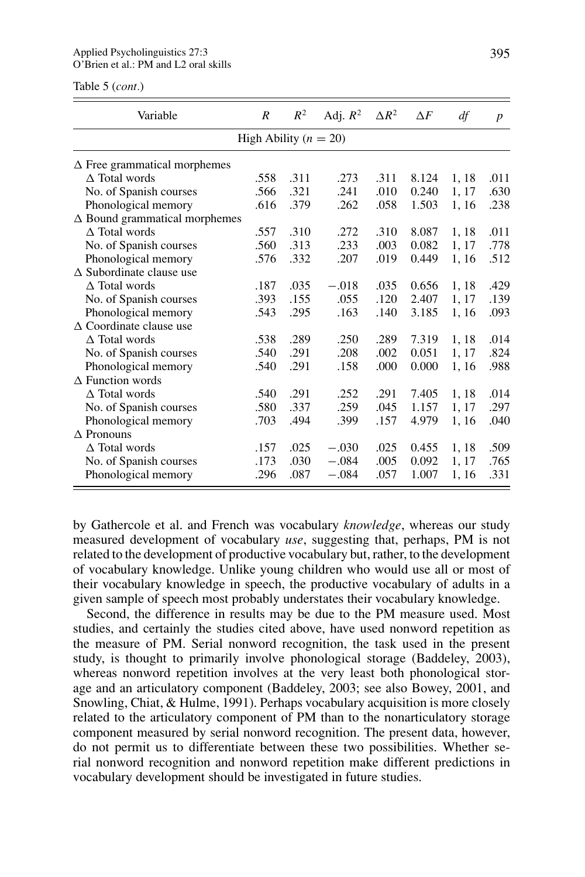Table 5 (*cont.*)

| Variable                             | $\boldsymbol{R}$          | $R^2$ | Adj. $R^2$ | $\Delta R^2$ | $\Delta F$ | df    | $\boldsymbol{p}$ |
|--------------------------------------|---------------------------|-------|------------|--------------|------------|-------|------------------|
|                                      | High Ability ( $n = 20$ ) |       |            |              |            |       |                  |
| $\Delta$ Free grammatical morphemes  |                           |       |            |              |            |       |                  |
| $\Delta$ Total words                 | .558                      | .311  | .273       | .311         | 8.124      | 1, 18 | .011             |
| No. of Spanish courses               | .566                      | .321  | .241       | .010         | 0.240      | 1, 17 | .630             |
| Phonological memory                  | .616                      | .379  | .262       | .058         | 1.503      | 1, 16 | .238             |
| $\Delta$ Bound grammatical morphemes |                           |       |            |              |            |       |                  |
| $\triangle$ Total words              | .557                      | .310  | .272       | .310         | 8.087      | 1, 18 | .011             |
| No. of Spanish courses               | .560                      | .313  | .233       | .003         | 0.082      | 1, 17 | .778             |
| Phonological memory                  | .576                      | .332  | .207       | .019         | 0.449      | 1, 16 | .512             |
| $\triangle$ Subordinate clause use   |                           |       |            |              |            |       |                  |
| $\triangle$ Total words              | .187                      | .035  | $-.018$    | .035         | 0.656      | 1, 18 | .429             |
| No. of Spanish courses               | .393                      | .155  | .055       | .120         | 2.407      | 1, 17 | .139             |
| Phonological memory                  | .543                      | .295  | .163       | .140         | 3.185      | 1, 16 | .093             |
| $\triangle$ Coordinate clause use    |                           |       |            |              |            |       |                  |
| $\triangle$ Total words              | .538                      | .289  | .250       | .289         | 7.319      | 1, 18 | .014             |
| No. of Spanish courses               | .540                      | .291  | .208       | .002         | 0.051      | 1, 17 | .824             |
| Phonological memory                  | .540                      | .291  | .158       | .000         | 0.000      | 1, 16 | .988             |
| $\triangle$ Function words           |                           |       |            |              |            |       |                  |
| $\triangle$ Total words              | .540                      | .291  | .252       | .291         | 7.405      | 1, 18 | .014             |
| No. of Spanish courses               | .580                      | .337  | .259       | .045         | 1.157      | 1, 17 | .297             |
| Phonological memory                  | .703                      | .494  | .399       | .157         | 4.979      | 1, 16 | .040             |
| $\triangle$ Pronouns                 |                           |       |            |              |            |       |                  |
| $\triangle$ Total words              | .157                      | .025  | $-.030$    | .025         | 0.455      | 1, 18 | .509             |
| No. of Spanish courses               | .173                      | .030  | $-.084$    | .005         | 0.092      | 1, 17 | .765             |
| Phonological memory                  | .296                      | .087  | $-.084$    | .057         | 1.007      | 1, 16 | .331             |

by Gathercole et al. and French was vocabulary *knowledge*, whereas our study measured development of vocabulary *use*, suggesting that, perhaps, PM is not related to the development of productive vocabulary but, rather, to the development of vocabulary knowledge. Unlike young children who would use all or most of their vocabulary knowledge in speech, the productive vocabulary of adults in a given sample of speech most probably understates their vocabulary knowledge.

Second, the difference in results may be due to the PM measure used. Most studies, and certainly the studies cited above, have used nonword repetition as the measure of PM. Serial nonword recognition, the task used in the present study, is thought to primarily involve phonological storage (Baddeley, 2003), whereas nonword repetition involves at the very least both phonological storage and an articulatory component (Baddeley, 2003; see also Bowey, 2001, and Snowling, Chiat, & Hulme, 1991). Perhaps vocabulary acquisition is more closely related to the articulatory component of PM than to the nonarticulatory storage component measured by serial nonword recognition. The present data, however, do not permit us to differentiate between these two possibilities. Whether serial nonword recognition and nonword repetition make different predictions in vocabulary development should be investigated in future studies.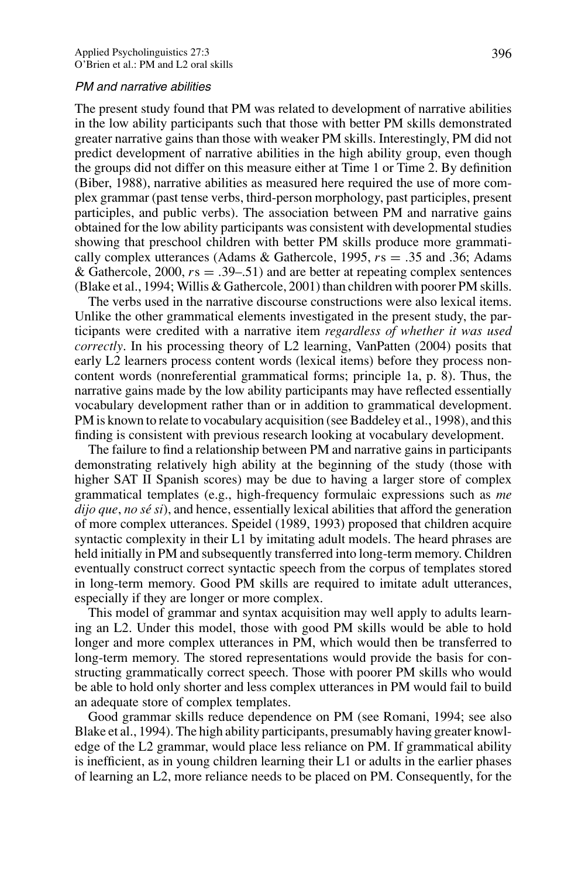#### PM and narrative abilities

The present study found that PM was related to development of narrative abilities in the low ability participants such that those with better PM skills demonstrated greater narrative gains than those with weaker PM skills. Interestingly, PM did not predict development of narrative abilities in the high ability group, even though the groups did not differ on this measure either at Time 1 or Time 2. By definition (Biber, 1988), narrative abilities as measured here required the use of more complex grammar (past tense verbs, third-person morphology, past participles, present participles, and public verbs). The association between PM and narrative gains obtained for the low ability participants was consistent with developmental studies showing that preschool children with better PM skills produce more grammatically complex utterances (Adams & Gathercole, 1995, *r*s = *.*35 and .36; Adams & Gathercole, 2000, *r*s = *.*39–.51) and are better at repeating complex sentences (Blake et al., 1994; Willis & Gathercole, 2001) than children with poorer PM skills.

The verbs used in the narrative discourse constructions were also lexical items. Unlike the other grammatical elements investigated in the present study, the participants were credited with a narrative item *regardless of whether it was used correctly*. In his processing theory of L2 learning, VanPatten (2004) posits that early L2 learners process content words (lexical items) before they process noncontent words (nonreferential grammatical forms; principle 1a, p. 8). Thus, the narrative gains made by the low ability participants may have reflected essentially vocabulary development rather than or in addition to grammatical development. PM is known to relate to vocabulary acquisition (see Baddeley et al., 1998), and this finding is consistent with previous research looking at vocabulary development.

The failure to find a relationship between PM and narrative gains in participants demonstrating relatively high ability at the beginning of the study (those with higher SAT II Spanish scores) may be due to having a larger store of complex grammatical templates (e.g., high-frequency formulaic expressions such as *me dijo que*, *no se si ´* ), and hence, essentially lexical abilities that afford the generation of more complex utterances. Speidel (1989, 1993) proposed that children acquire syntactic complexity in their L1 by imitating adult models. The heard phrases are held initially in PM and subsequently transferred into long-term memory. Children eventually construct correct syntactic speech from the corpus of templates stored in long-term memory. Good PM skills are required to imitate adult utterances, especially if they are longer or more complex.

This model of grammar and syntax acquisition may well apply to adults learning an L2. Under this model, those with good PM skills would be able to hold longer and more complex utterances in PM, which would then be transferred to long-term memory. The stored representations would provide the basis for constructing grammatically correct speech. Those with poorer PM skills who would be able to hold only shorter and less complex utterances in PM would fail to build an adequate store of complex templates.

Good grammar skills reduce dependence on PM (see Romani, 1994; see also Blake et al., 1994). The high ability participants, presumably having greater knowledge of the L2 grammar, would place less reliance on PM. If grammatical ability is inefficient, as in young children learning their L1 or adults in the earlier phases of learning an L2, more reliance needs to be placed on PM. Consequently, for the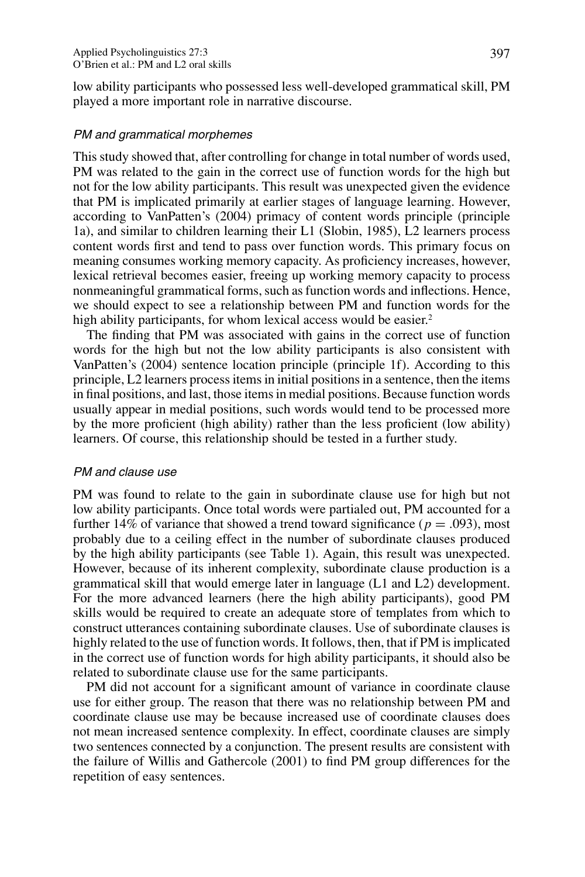low ability participants who possessed less well-developed grammatical skill, PM played a more important role in narrative discourse.

### PM and grammatical morphemes

This study showed that, after controlling for change in total number of words used, PM was related to the gain in the correct use of function words for the high but not for the low ability participants. This result was unexpected given the evidence that PM is implicated primarily at earlier stages of language learning. However, according to VanPatten's (2004) primacy of content words principle (principle 1a), and similar to children learning their L1 (Slobin, 1985), L2 learners process content words first and tend to pass over function words. This primary focus on meaning consumes working memory capacity. As proficiency increases, however, lexical retrieval becomes easier, freeing up working memory capacity to process nonmeaningful grammatical forms, such as function words and inflections. Hence, we should expect to see a relationship between PM and function words for the high ability participants, for whom lexical access would be easier.<sup>2</sup>

The finding that PM was associated with gains in the correct use of function words for the high but not the low ability participants is also consistent with VanPatten's (2004) sentence location principle (principle 1f). According to this principle, L2 learners process items in initial positions in a sentence, then the items in final positions, and last, those items in medial positions. Because function words usually appear in medial positions, such words would tend to be processed more by the more proficient (high ability) rather than the less proficient (low ability) learners. Of course, this relationship should be tested in a further study.

#### PM and clause use

PM was found to relate to the gain in subordinate clause use for high but not low ability participants. Once total words were partialed out, PM accounted for a further 14% of variance that showed a trend toward significance ( $p = .093$ ), most probably due to a ceiling effect in the number of subordinate clauses produced by the high ability participants (see Table 1). Again, this result was unexpected. However, because of its inherent complexity, subordinate clause production is a grammatical skill that would emerge later in language (L1 and L2) development. For the more advanced learners (here the high ability participants), good PM skills would be required to create an adequate store of templates from which to construct utterances containing subordinate clauses. Use of subordinate clauses is highly related to the use of function words. It follows, then, that if PM is implicated in the correct use of function words for high ability participants, it should also be related to subordinate clause use for the same participants.

PM did not account for a significant amount of variance in coordinate clause use for either group. The reason that there was no relationship between PM and coordinate clause use may be because increased use of coordinate clauses does not mean increased sentence complexity. In effect, coordinate clauses are simply two sentences connected by a conjunction. The present results are consistent with the failure of Willis and Gathercole (2001) to find PM group differences for the repetition of easy sentences.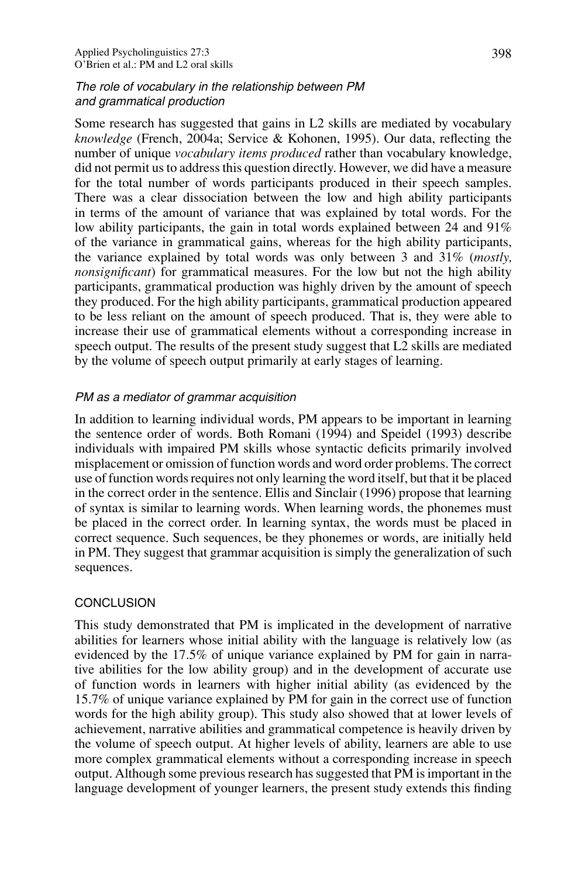# The role of vocabulary in the relationship between PM and grammatical production

Some research has suggested that gains in L2 skills are mediated by vocabulary *knowledge* (French, 2004a; Service & Kohonen, 1995). Our data, reflecting the number of unique *vocabulary items produced* rather than vocabulary knowledge, did not permit us to address this question directly. However, we did have a measure for the total number of words participants produced in their speech samples. There was a clear dissociation between the low and high ability participants in terms of the amount of variance that was explained by total words. For the low ability participants, the gain in total words explained between 24 and 91% of the variance in grammatical gains, whereas for the high ability participants, the variance explained by total words was only between 3 and 31% (*mostly, nonsignificant*) for grammatical measures. For the low but not the high ability participants, grammatical production was highly driven by the amount of speech they produced. For the high ability participants, grammatical production appeared to be less reliant on the amount of speech produced. That is, they were able to increase their use of grammatical elements without a corresponding increase in speech output. The results of the present study suggest that L2 skills are mediated by the volume of speech output primarily at early stages of learning.

# PM as <sup>a</sup> mediator of grammar acquisition

In addition to learning individual words, PM appears to be important in learning the sentence order of words. Both Romani (1994) and Speidel (1993) describe individuals with impaired PM skills whose syntactic deficits primarily involved misplacement or omission of function words and word order problems. The correct use of function words requires not only learning the word itself, but that it be placed in the correct order in the sentence. Ellis and Sinclair (1996) propose that learning of syntax is similar to learning words. When learning words, the phonemes must be placed in the correct order. In learning syntax, the words must be placed in correct sequence. Such sequences, be they phonemes or words, are initially held in PM. They suggest that grammar acquisition is simply the generalization of such sequences.

# **CONCLUSION**

This study demonstrated that PM is implicated in the development of narrative abilities for learners whose initial ability with the language is relatively low (as evidenced by the 17.5% of unique variance explained by PM for gain in narrative abilities for the low ability group) and in the development of accurate use of function words in learners with higher initial ability (as evidenced by the 15.7% of unique variance explained by PM for gain in the correct use of function words for the high ability group). This study also showed that at lower levels of achievement, narrative abilities and grammatical competence is heavily driven by the volume of speech output. At higher levels of ability, learners are able to use more complex grammatical elements without a corresponding increase in speech output. Although some previous research has suggested that PM is important in the language development of younger learners, the present study extends this finding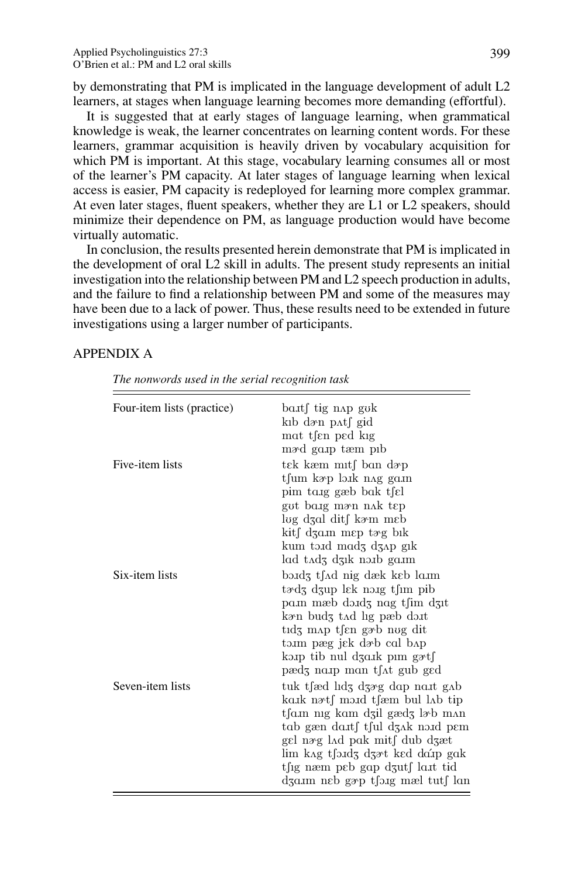by demonstrating that PM is implicated in the language development of adult L2 learners, at stages when language learning becomes more demanding (effortful).

It is suggested that at early stages of language learning, when grammatical knowledge is weak, the learner concentrates on learning content words. For these learners, grammar acquisition is heavily driven by vocabulary acquisition for which PM is important. At this stage, vocabulary learning consumes all or most of the learner's PM capacity. At later stages of language learning when lexical access is easier, PM capacity is redeployed for learning more complex grammar. At even later stages, fluent speakers, whether they are L1 or L2 speakers, should minimize their dependence on PM, as language production would have become virtually automatic.

In conclusion, the results presented herein demonstrate that PM is implicated in the development of oral L2 skill in adults. The present study represents an initial investigation into the relationship between PM and L2 speech production in adults, and the failure to find a relationship between PM and some of the measures may have been due to a lack of power. Thus, these results need to be extended in future investigations using a larger number of participants.

#### APPENDIX A

*The nonwords used in the serial recognition task*

| Four-item lists (practice) | ba.t∫ tig n∧p gok<br>kıb də∘n p∧t∫ gid<br>mat tsen ped kig<br>m <sub>3</sub> m <sub>3</sub> degree produced produced produced produced produced produced produced produced produced produced produced produced produced produced produced produced produced produced produced produced produced produced produce         |
|----------------------------|--------------------------------------------------------------------------------------------------------------------------------------------------------------------------------------------------------------------------------------------------------------------------------------------------------------------------|
| Five-item lists            | tek kæm mitf ban døp<br>tfum kap laik nag gain<br>pim tang gæb bak tsel<br>gut baig mæn nak tep<br>log dʒɑl dit∫ kə~m mɛb<br>kit∫ dʒa.m mɛp tæg bɪk<br>kum toud modz dzap gik                                                                                                                                            |
| Six-item lists             | lad tadz dzik norb garm<br>bə.idʒ t∫∧d nig dæk kɛb la.im<br>$t \partial_3$ dzup lek noig t $\lim$ pib<br>pam mæb dondz nag tfim dzit<br>kan budz tad lig pæb do.it<br>tıdz m∧p t∫en gəb nug dit<br>tam pæg j $\epsilon$ k dæb cal bap<br>kap tib nul dzark pim gətf                                                      |
| Seven-item lists           | pædz naup man t∫∧t gub ged<br>tuk tsed lidz dzag dap nast gab<br>ka.k nat∫ mo.d t∫æm bul l∧b tip<br>tfa.m nig kam dzil gædz læb man<br>tab gæn da.tf t∫ul dʒ∧k no.id pɛm<br>gel næg l∧d pak mit∫ dub dʒæt<br>lim kag t∫ə.ıdʒ dʒət ked da´ıp gak<br>t∫ig næm peb gap dzut∫ la.it tid<br>dza.m neb gæp t∫o.ig mæl tut∫ lan |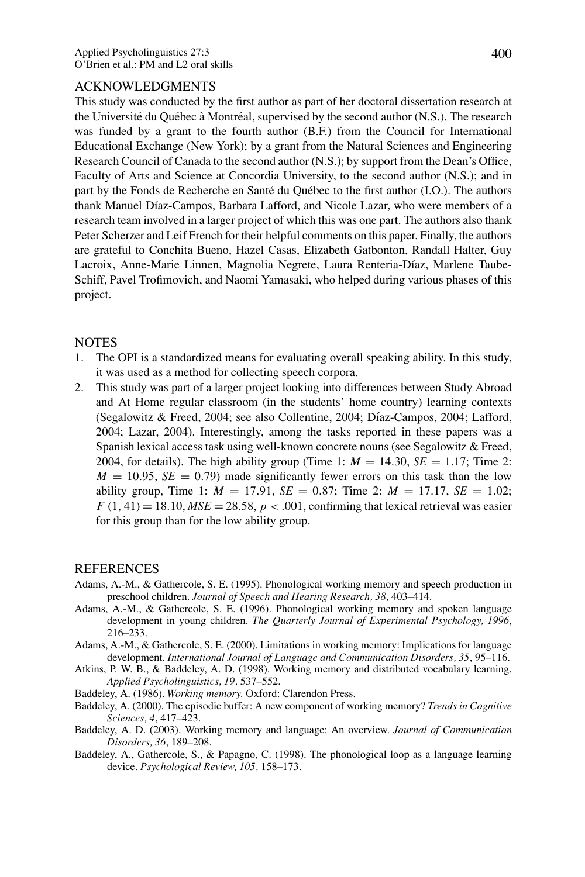#### ACKNOWLEDGMENTS

This study was conducted by the first author as part of her doctoral dissertation research at the Université du Québec à Montréal, supervised by the second author (N.S.). The research was funded by a grant to the fourth author (B.F.) from the Council for International Educational Exchange (New York); by a grant from the Natural Sciences and Engineering Research Council of Canada to the second author (N.S.); by support from the Dean's Office, Faculty of Arts and Science at Concordia University, to the second author (N.S.); and in part by the Fonds de Recherche en Santé du Québec to the first author (I.O.). The authors thank Manuel Díaz-Campos, Barbara Lafford, and Nicole Lazar, who were members of a research team involved in a larger project of which this was one part. The authors also thank Peter Scherzer and Leif French for their helpful comments on this paper. Finally, the authors are grateful to Conchita Bueno, Hazel Casas, Elizabeth Gatbonton, Randall Halter, Guy Lacroix, Anne-Marie Linnen, Magnolia Negrete, Laura Renteria-Díaz, Marlene Taube-Schiff, Pavel Trofimovich, and Naomi Yamasaki, who helped during various phases of this project.

#### NOTES

- 1. The OPI is a standardized means for evaluating overall speaking ability. In this study, it was used as a method for collecting speech corpora.
- 2. This study was part of a larger project looking into differences between Study Abroad and At Home regular classroom (in the students' home country) learning contexts (Segalowitz & Freed, 2004; see also Collentine, 2004; D´ıaz-Campos, 2004; Lafford, 2004; Lazar, 2004). Interestingly, among the tasks reported in these papers was a Spanish lexical access task using well-known concrete nouns (see Segalowitz & Freed, 2004, for details). The high ability group (Time 1:  $M = 14.30$ ,  $SE = 1.17$ ; Time 2:  $M = 10.95$ ,  $SE = 0.79$ ) made significantly fewer errors on this task than the low ability group, Time 1:  $M = 17.91$ ,  $SE = 0.87$ ; Time 2:  $M = 17.17$ ,  $SE = 1.02$ ;  $F(1, 41) = 18.10, MSE = 28.58, p < .001$ , confirming that lexical retrieval was easier for this group than for the low ability group.

#### REFERENCES

- Adams, A.-M., & Gathercole, S. E. (1995). Phonological working memory and speech production in preschool children. *Journal of Speech and Hearing Research, 38*, 403–414.
- Adams, A.-M., & Gathercole, S. E. (1996). Phonological working memory and spoken language development in young children. *The Quarterly Journal of Experimental Psychology, 1996*, 216–233.
- Adams, A.-M., & Gathercole, S. E. (2000). Limitations in working memory: Implications for language development. *International Journal of Language and Communication Disorders, 35*, 95–116.
- Atkins, P. W. B., & Baddeley, A. D. (1998). Working memory and distributed vocabulary learning. *Applied Psycholinguistics, 19,* 537–552.
- Baddeley, A. (1986). *Working memory.* Oxford: Clarendon Press.
- Baddeley, A. (2000). The episodic buffer: A new component of working memory? *Trends in Cognitive Sciences, 4*, 417–423.
- Baddeley, A. D. (2003). Working memory and language: An overview. *Journal of Communication Disorders, 36*, 189–208.
- Baddeley, A., Gathercole, S., & Papagno, C. (1998). The phonological loop as a language learning device. *Psychological Review, 105,* 158–173.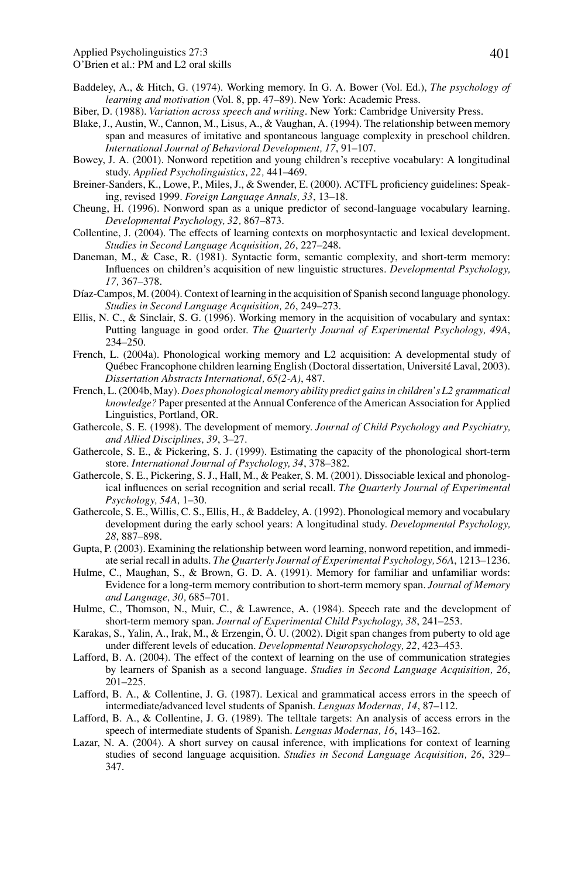- Baddeley, A., & Hitch, G. (1974). Working memory. In G. A. Bower (Vol. Ed.), *The psychology of learning and motivation* (Vol. 8, pp. 47–89). New York: Academic Press.
- Biber, D. (1988). *Variation across speech and writing*. New York: Cambridge University Press.
- Blake, J., Austin, W., Cannon, M., Lisus, A., & Vaughan, A. (1994). The relationship between memory span and measures of imitative and spontaneous language complexity in preschool children. *International Journal of Behavioral Development, 17*, 91–107.
- Bowey, J. A. (2001). Nonword repetition and young children's receptive vocabulary: A longitudinal study. *Applied Psycholinguistics, 22,* 441–469.
- Breiner-Sanders, K., Lowe, P., Miles, J., & Swender, E. (2000). ACTFL proficiency guidelines: Speaking, revised 1999. *Foreign Language Annals, 33*, 13–18.
- Cheung, H. (1996). Nonword span as a unique predictor of second-language vocabulary learning. *Developmental Psychology, 32,* 867–873.
- Collentine, J. (2004). The effects of learning contexts on morphosyntactic and lexical development. *Studies in Second Language Acquisition, 26*, 227–248.
- Daneman, M., & Case, R. (1981). Syntactic form, semantic complexity, and short-term memory: Influences on children's acquisition of new linguistic structures. *Developmental Psychology, 17,* 367–378.
- Díaz-Campos, M. (2004). Context of learning in the acquisition of Spanish second language phonology. *Studies in Second Language Acquisition, 26*, 249–273.
- Ellis, N. C., & Sinclair, S. G. (1996). Working memory in the acquisition of vocabulary and syntax: Putting language in good order. *The Quarterly Journal of Experimental Psychology, 49A*, 234–250.
- French, L. (2004a). Phonological working memory and L2 acquisition: A developmental study of Québec Francophone children learning English (Doctoral dissertation, Université Laval, 2003). *Dissertation Abstracts International, 65(2-A)*, 487.
- French, L. (2004b, May). *Does phonological memory ability predict gains in children's L2 grammatical knowledge?* Paper presented at the Annual Conference of the American Association for Applied Linguistics, Portland, OR.
- Gathercole, S. E. (1998). The development of memory. *Journal of Child Psychology and Psychiatry, and Allied Disciplines, 39*, 3–27.
- Gathercole, S. E., & Pickering, S. J. (1999). Estimating the capacity of the phonological short-term store. *International Journal of Psychology, 34*, 378–382.
- Gathercole, S. E., Pickering, S. J., Hall, M., & Peaker, S. M. (2001). Dissociable lexical and phonological influences on serial recognition and serial recall. *The Quarterly Journal of Experimental Psychology, 54A,* 1–30.
- Gathercole, S. E., Willis, C. S., Ellis, H., & Baddeley, A. (1992). Phonological memory and vocabulary development during the early school years: A longitudinal study. *Developmental Psychology, 28*, 887–898.
- Gupta, P. (2003). Examining the relationship between word learning, nonword repetition, and immediate serial recall in adults. *The Quarterly Journal of Experimental Psychology, 56A*, 1213–1236.
- Hulme, C., Maughan, S., & Brown, G. D. A. (1991). Memory for familiar and unfamiliar words: Evidence for a long-term memory contribution to short-term memory span. *Journal of Memory and Language, 30,* 685–701.
- Hulme, C., Thomson, N., Muir, C., & Lawrence, A. (1984). Speech rate and the development of short-term memory span. *Journal of Experimental Child Psychology, 38*, 241–253.
- Karakas, S., Yalin, A., Irak, M., & Erzengin, Ö. U. (2002). Digit span changes from puberty to old age under different levels of education. *Developmental Neuropsychology, 22*, 423–453.
- Lafford, B. A. (2004). The effect of the context of learning on the use of communication strategies by learners of Spanish as a second language. *Studies in Second Language Acquisition, 26*, 201–225.
- Lafford, B. A., & Collentine, J. G. (1987). Lexical and grammatical access errors in the speech of intermediate/advanced level students of Spanish. *Lenguas Modernas, 14*, 87–112.
- Lafford, B. A., & Collentine, J. G. (1989). The telltale targets: An analysis of access errors in the speech of intermediate students of Spanish. *Lenguas Modernas, 16*, 143–162.
- Lazar, N. A. (2004). A short survey on causal inference, with implications for context of learning studies of second language acquisition. *Studies in Second Language Acquisition, 26*, 329– 347.